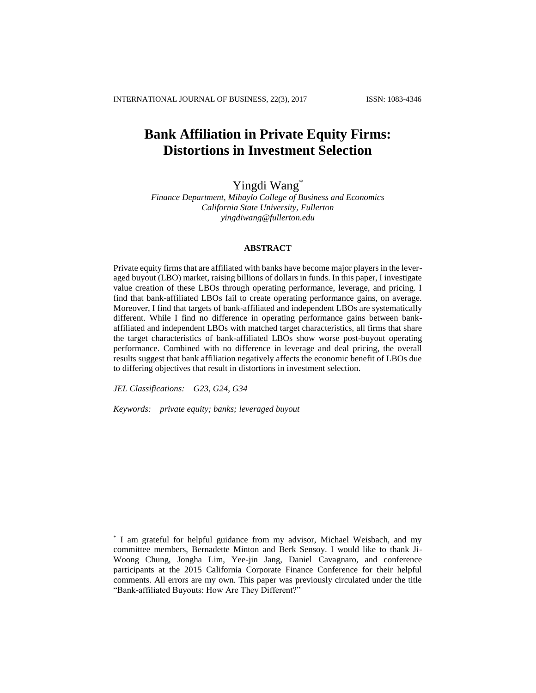# **Bank Affiliation in Private Equity Firms: Distortions in Investment Selection**

Yingdi Wang\*

*Finance Department, Mihaylo College of Business and Economics California State University, Fullerton yingdiwang@fullerton.edu*

### **ABSTRACT**

Private equity firms that are affiliated with banks have become major players in the leveraged buyout (LBO) market, raising billions of dollars in funds. In this paper, I investigate value creation of these LBOs through operating performance, leverage, and pricing. I find that bank-affiliated LBOs fail to create operating performance gains, on average. Moreover, I find that targets of bank-affiliated and independent LBOs are systematically different. While I find no difference in operating performance gains between bankaffiliated and independent LBOs with matched target characteristics, all firms that share the target characteristics of bank-affiliated LBOs show worse post-buyout operating performance. Combined with no difference in leverage and deal pricing, the overall results suggest that bank affiliation negatively affects the economic benefit of LBOs due to differing objectives that result in distortions in investment selection.

*JEL Classifications: G23, G24, G34*

*Keywords: private equity; banks; leveraged buyout*

<sup>\*</sup> I am grateful for helpful guidance from my advisor, Michael Weisbach, and my committee members, Bernadette Minton and Berk Sensoy. I would like to thank Ji-Woong Chung, Jongha Lim, Yee-jin Jang, Daniel Cavagnaro, and conference participants at the 2015 California Corporate Finance Conference for their helpful comments. All errors are my own. This paper was previously circulated under the title "Bank-affiliated Buyouts: How Are They Different?"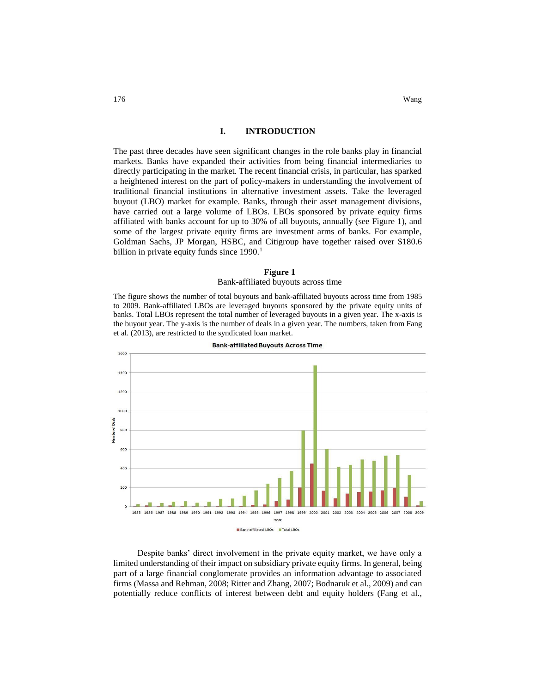#### **I. INTRODUCTION**

The past three decades have seen significant changes in the role banks play in financial markets. Banks have expanded their activities from being financial intermediaries to directly participating in the market. The recent financial crisis, in particular, has sparked a heightened interest on the part of policy-makers in understanding the involvement of traditional financial institutions in alternative investment assets. Take the leveraged buyout (LBO) market for example. Banks, through their asset management divisions, have carried out a large volume of LBOs. LBOs sponsored by private equity firms affiliated with banks account for up to 30% of all buyouts, annually (see Figure 1), and some of the largest private equity firms are investment arms of banks. For example, Goldman Sachs, JP Morgan, HSBC, and Citigroup have together raised over \$180.6 billion in private equity funds since  $1990.<sup>1</sup>$ 

# **Figure 1**

#### Bank-affiliated buyouts across time

The figure shows the number of total buyouts and bank-affiliated buyouts across time from 1985 to 2009. Bank-affiliated LBOs are leveraged buyouts sponsored by the private equity units of banks. Total LBOs represent the total number of leveraged buyouts in a given year. The x-axis is the buyout year. The y-axis is the number of deals in a given year. The numbers, taken from Fang et al. (2013), are restricted to the syndicated loan market.



Despite banks' direct involvement in the private equity market, we have only a limited understanding of their impact on subsidiary private equity firms. In general, being part of a large financial conglomerate provides an information advantage to associated firms (Massa and Rehman, 2008; Ritter and Zhang, 2007; Bodnaruk et al., 2009) and can potentially reduce conflicts of interest between debt and equity holders (Fang et al.,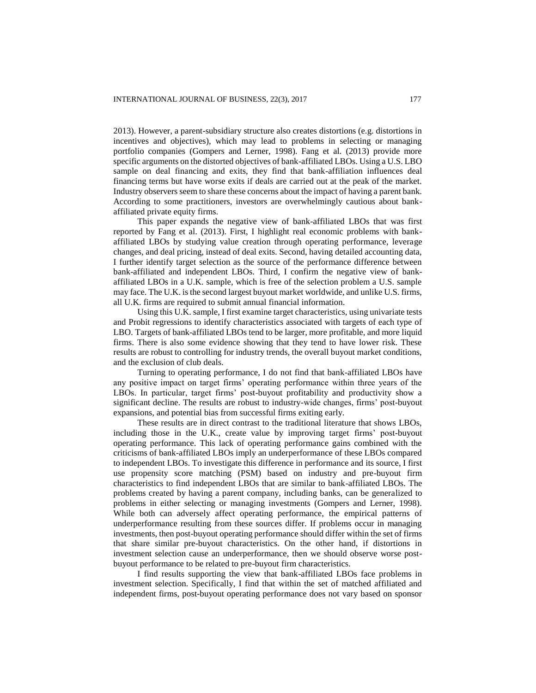2013). However, a parent-subsidiary structure also creates distortions (e.g. distortions in incentives and objectives), which may lead to problems in selecting or managing portfolio companies (Gompers and Lerner, 1998). Fang et al. (2013) provide more specific arguments on the distorted objectives of bank-affiliated LBOs. Using a U.S. LBO sample on deal financing and exits, they find that bank-affiliation influences deal financing terms but have worse exits if deals are carried out at the peak of the market. Industry observers seem to share these concerns about the impact of having a parent bank. According to some practitioners, investors are overwhelmingly cautious about bankaffiliated private equity firms.

This paper expands the negative view of bank-affiliated LBOs that was first reported by Fang et al. (2013). First, I highlight real economic problems with bankaffiliated LBOs by studying value creation through operating performance, leverage changes, and deal pricing, instead of deal exits. Second, having detailed accounting data, I further identify target selection as the source of the performance difference between bank-affiliated and independent LBOs. Third, I confirm the negative view of bankaffiliated LBOs in a U.K. sample, which is free of the selection problem a U.S. sample may face. The U.K. is the second largest buyout market worldwide, and unlike U.S. firms, all U.K. firms are required to submit annual financial information.

Using this U.K. sample, I first examine target characteristics, using univariate tests and Probit regressions to identify characteristics associated with targets of each type of LBO. Targets of bank-affiliated LBOs tend to be larger, more profitable, and more liquid firms. There is also some evidence showing that they tend to have lower risk. These results are robust to controlling for industry trends, the overall buyout market conditions, and the exclusion of club deals.

Turning to operating performance, I do not find that bank-affiliated LBOs have any positive impact on target firms' operating performance within three years of the LBOs. In particular, target firms' post-buyout profitability and productivity show a significant decline. The results are robust to industry-wide changes, firms' post-buyout expansions, and potential bias from successful firms exiting early.

These results are in direct contrast to the traditional literature that shows LBOs, including those in the U.K., create value by improving target firms' post-buyout operating performance. This lack of operating performance gains combined with the criticisms of bank-affiliated LBOs imply an underperformance of these LBOs compared to independent LBOs. To investigate this difference in performance and its source, I first use propensity score matching (PSM) based on industry and pre-buyout firm characteristics to find independent LBOs that are similar to bank-affiliated LBOs. The problems created by having a parent company, including banks, can be generalized to problems in either selecting or managing investments (Gompers and Lerner, 1998). While both can adversely affect operating performance, the empirical patterns of underperformance resulting from these sources differ. If problems occur in managing investments, then post-buyout operating performance should differ within the set of firms that share similar pre-buyout characteristics. On the other hand, if distortions in investment selection cause an underperformance, then we should observe worse postbuyout performance to be related to pre-buyout firm characteristics.

I find results supporting the view that bank-affiliated LBOs face problems in investment selection. Specifically, I find that within the set of matched affiliated and independent firms, post-buyout operating performance does not vary based on sponsor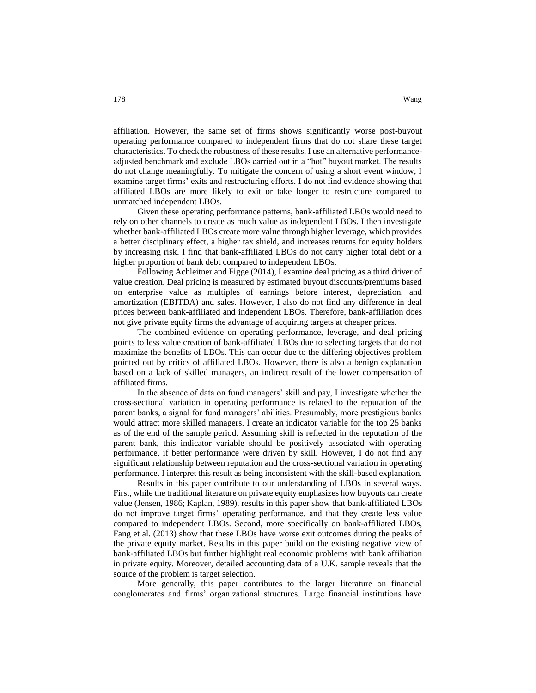affiliation. However, the same set of firms shows significantly worse post-buyout operating performance compared to independent firms that do not share these target characteristics. To check the robustness of these results, I use an alternative performanceadjusted benchmark and exclude LBOs carried out in a "hot" buyout market. The results do not change meaningfully. To mitigate the concern of using a short event window, I examine target firms' exits and restructuring efforts. I do not find evidence showing that affiliated LBOs are more likely to exit or take longer to restructure compared to unmatched independent LBOs.

Given these operating performance patterns, bank-affiliated LBOs would need to rely on other channels to create as much value as independent LBOs. I then investigate whether bank-affiliated LBOs create more value through higher leverage, which provides a better disciplinary effect, a higher tax shield, and increases returns for equity holders by increasing risk. I find that bank-affiliated LBOs do not carry higher total debt or a higher proportion of bank debt compared to independent LBOs.

Following Achleitner and Figge (2014), I examine deal pricing as a third driver of value creation. Deal pricing is measured by estimated buyout discounts/premiums based on enterprise value as multiples of earnings before interest, depreciation, and amortization (EBITDA) and sales. However, I also do not find any difference in deal prices between bank-affiliated and independent LBOs. Therefore, bank-affiliation does not give private equity firms the advantage of acquiring targets at cheaper prices.

The combined evidence on operating performance, leverage, and deal pricing points to less value creation of bank-affiliated LBOs due to selecting targets that do not maximize the benefits of LBOs. This can occur due to the differing objectives problem pointed out by critics of affiliated LBOs. However, there is also a benign explanation based on a lack of skilled managers, an indirect result of the lower compensation of affiliated firms.

In the absence of data on fund managers' skill and pay, I investigate whether the cross-sectional variation in operating performance is related to the reputation of the parent banks, a signal for fund managers' abilities. Presumably, more prestigious banks would attract more skilled managers. I create an indicator variable for the top 25 banks as of the end of the sample period. Assuming skill is reflected in the reputation of the parent bank, this indicator variable should be positively associated with operating performance, if better performance were driven by skill. However, I do not find any significant relationship between reputation and the cross-sectional variation in operating performance. I interpret this result as being inconsistent with the skill-based explanation.

Results in this paper contribute to our understanding of LBOs in several ways. First, while the traditional literature on private equity emphasizes how buyouts can create value (Jensen, 1986; Kaplan, 1989), results in this paper show that bank-affiliated LBOs do not improve target firms' operating performance, and that they create less value compared to independent LBOs. Second, more specifically on bank-affiliated LBOs, Fang et al. (2013) show that these LBOs have worse exit outcomes during the peaks of the private equity market. Results in this paper build on the existing negative view of bank-affiliated LBOs but further highlight real economic problems with bank affiliation in private equity. Moreover, detailed accounting data of a U.K. sample reveals that the source of the problem is target selection.

More generally, this paper contributes to the larger literature on financial conglomerates and firms' organizational structures. Large financial institutions have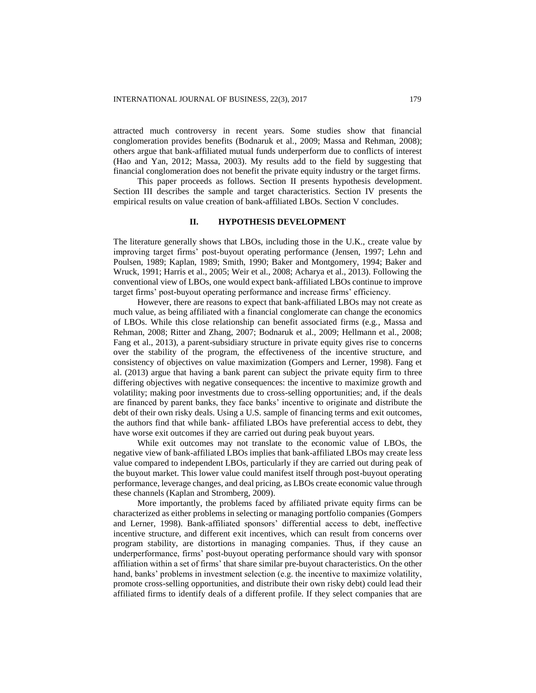attracted much controversy in recent years. Some studies show that financial conglomeration provides benefits (Bodnaruk et al., 2009; Massa and Rehman, 2008); others argue that bank-affiliated mutual funds underperform due to conflicts of interest (Hao and Yan, 2012; Massa, 2003). My results add to the field by suggesting that financial conglomeration does not benefit the private equity industry or the target firms.

This paper proceeds as follows. Section II presents hypothesis development. Section III describes the sample and target characteristics. Section IV presents the empirical results on value creation of bank-affiliated LBOs. Section V concludes.

#### **II. HYPOTHESIS DEVELOPMENT**

The literature generally shows that LBOs, including those in the U.K., create value by improving target firms' post-buyout operating performance (Jensen, 1997; Lehn and Poulsen, 1989; Kaplan, 1989; Smith, 1990; Baker and Montgomery, 1994; Baker and Wruck, 1991; Harris et al., 2005; Weir et al., 2008; Acharya et al., 2013). Following the conventional view of LBOs, one would expect bank-affiliated LBOs continue to improve target firms' post-buyout operating performance and increase firms' efficiency.

However, there are reasons to expect that bank-affiliated LBOs may not create as much value, as being affiliated with a financial conglomerate can change the economics of LBOs. While this close relationship can benefit associated firms (e.g., Massa and Rehman, 2008; Ritter and Zhang, 2007; Bodnaruk et al., 2009; Hellmann et al., 2008; Fang et al., 2013), a parent-subsidiary structure in private equity gives rise to concerns over the stability of the program, the effectiveness of the incentive structure, and consistency of objectives on value maximization (Gompers and Lerner, 1998). Fang et al. (2013) argue that having a bank parent can subject the private equity firm to three differing objectives with negative consequences: the incentive to maximize growth and volatility; making poor investments due to cross-selling opportunities; and, if the deals are financed by parent banks, they face banks' incentive to originate and distribute the debt of their own risky deals. Using a U.S. sample of financing terms and exit outcomes, the authors find that while bank- affiliated LBOs have preferential access to debt, they have worse exit outcomes if they are carried out during peak buyout years.

While exit outcomes may not translate to the economic value of LBOs, the negative view of bank-affiliated LBOs implies that bank-affiliated LBOs may create less value compared to independent LBOs, particularly if they are carried out during peak of the buyout market. This lower value could manifest itself through post-buyout operating performance, leverage changes, and deal pricing, as LBOs create economic value through these channels (Kaplan and Stromberg, 2009).

More importantly, the problems faced by affiliated private equity firms can be characterized as either problems in selecting or managing portfolio companies (Gompers and Lerner, 1998). Bank-affiliated sponsors' differential access to debt, ineffective incentive structure, and different exit incentives, which can result from concerns over program stability, are distortions in managing companies. Thus, if they cause an underperformance, firms' post-buyout operating performance should vary with sponsor affiliation within a set of firms' that share similar pre-buyout characteristics. On the other hand, banks' problems in investment selection (e.g. the incentive to maximize volatility, promote cross-selling opportunities, and distribute their own risky debt) could lead their affiliated firms to identify deals of a different profile. If they select companies that are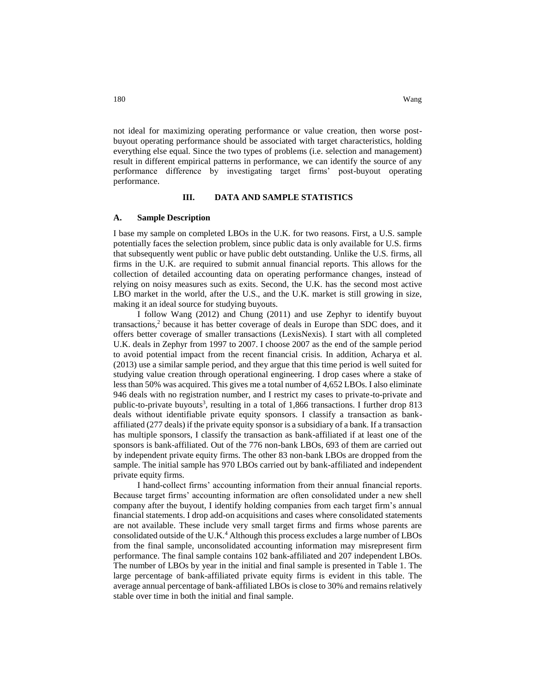not ideal for maximizing operating performance or value creation, then worse postbuyout operating performance should be associated with target characteristics, holding everything else equal. Since the two types of problems (i.e. selection and management) result in different empirical patterns in performance, we can identify the source of any performance difference by investigating target firms' post-buyout operating performance.

### **III. DATA AND SAMPLE STATISTICS**

#### **A. Sample Description**

I base my sample on completed LBOs in the U.K. for two reasons. First, a U.S. sample potentially faces the selection problem, since public data is only available for U.S. firms that subsequently went public or have public debt outstanding. Unlike the U.S. firms, all firms in the U.K. are required to submit annual financial reports. This allows for the collection of detailed accounting data on operating performance changes, instead of relying on noisy measures such as exits. Second, the U.K. has the second most active LBO market in the world, after the U.S., and the U.K. market is still growing in size, making it an ideal source for studying buyouts.

I follow Wang (2012) and Chung (2011) and use Zephyr to identify buyout transactions, <sup>2</sup> because it has better coverage of deals in Europe than SDC does, and it offers better coverage of smaller transactions (LexisNexis). I start with all completed U.K. deals in Zephyr from 1997 to 2007. I choose 2007 as the end of the sample period to avoid potential impact from the recent financial crisis. In addition, Acharya et al. (2013) use a similar sample period, and they argue that this time period is well suited for studying value creation through operational engineering. I drop cases where a stake of less than 50% was acquired. This gives me a total number of 4,652 LBOs. I also eliminate 946 deals with no registration number, and I restrict my cases to private-to-private and public-to-private buyouts<sup>3</sup>, resulting in a total of 1,866 transactions. I further drop 813 deals without identifiable private equity sponsors. I classify a transaction as bankaffiliated (277 deals) if the private equity sponsor is a subsidiary of a bank. If a transaction has multiple sponsors, I classify the transaction as bank-affiliated if at least one of the sponsors is bank-affiliated. Out of the 776 non-bank LBOs, 693 of them are carried out by independent private equity firms. The other 83 non-bank LBOs are dropped from the sample. The initial sample has 970 LBOs carried out by bank-affiliated and independent private equity firms.

I hand-collect firms' accounting information from their annual financial reports. Because target firms' accounting information are often consolidated under a new shell company after the buyout, I identify holding companies from each target firm's annual financial statements. I drop add-on acquisitions and cases where consolidated statements are not available. These include very small target firms and firms whose parents are consolidated outside of the U.K. $4$  Although this process excludes a large number of LBOs from the final sample, unconsolidated accounting information may misrepresent firm performance. The final sample contains 102 bank-affiliated and 207 independent LBOs. The number of LBOs by year in the initial and final sample is presented in Table 1. The large percentage of bank-affiliated private equity firms is evident in this table. The average annual percentage of bank-affiliated LBOs is close to 30% and remains relatively stable over time in both the initial and final sample.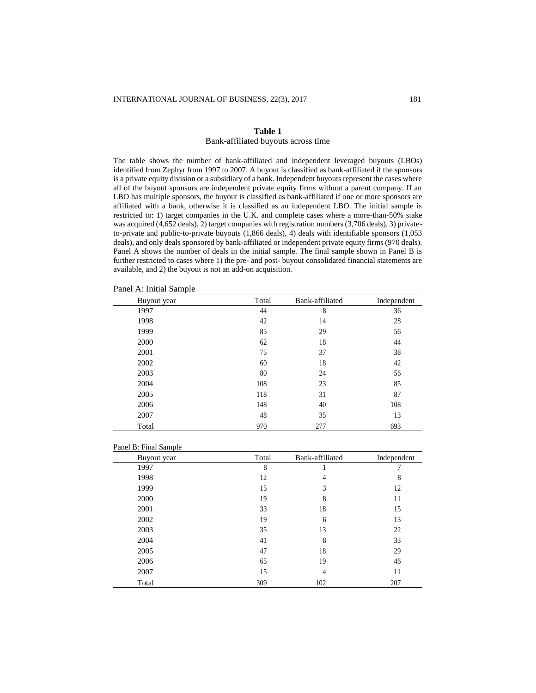#### Bank-affiliated buyouts across time

The table shows the number of bank-affiliated and independent leveraged buyouts (LBOs) identified from Zephyr from 1997 to 2007. A buyout is classified as bank-affiliated if the sponsors is a private equity division or a subsidiary of a bank. Independent buyouts represent the cases where all of the buyout sponsors are independent private equity firms without a parent company. If an LBO has multiple sponsors, the buyout is classified as bank-affiliated if one or more sponsors are affiliated with a bank, otherwise it is classified as an independent LBO. The initial sample is restricted to: 1) target companies in the U.K. and complete cases where a more-than-50% stake was acquired (4,652 deals), 2) target companies with registration numbers (3,706 deals), 3) privateto-private and public-to-private buyouts (1,866 deals), 4) deals with identifiable sponsors (1,053 deals), and only deals sponsored by bank-affiliated or independent private equity firms (970 deals). Panel A shows the number of deals in the initial sample. The final sample shown in Panel B is further restricted to cases where 1) the pre- and post- buyout consolidated financial statements are available, and 2) the buyout is not an add-on acquisition.

| Panel A: Initial Sample |  |  |
|-------------------------|--|--|
|-------------------------|--|--|

| Total<br>Bank-affiliated<br>Independent<br>Buyout year |  |
|--------------------------------------------------------|--|
| 1997<br>44<br>8<br>36                                  |  |
| 1998<br>42<br>28<br>14                                 |  |
| 85<br>1999<br>29<br>56                                 |  |
| 2000<br>62<br>18<br>44                                 |  |
| 75<br>37<br>38<br>2001                                 |  |
| 2002<br>18<br>42<br>60                                 |  |
| 2003<br>80<br>24<br>56                                 |  |
| 2004<br>85<br>108<br>23                                |  |
| 31<br>87<br>2005<br>118                                |  |
| 2006<br>148<br>40<br>108                               |  |
| 35<br>2007<br>48<br>13                                 |  |
| 970<br>277<br>693<br>Total                             |  |

| Panel B: Final Sample |       |                 |             |
|-----------------------|-------|-----------------|-------------|
| Buyout year           | Total | Bank-affiliated | Independent |
| 1997                  | 8     |                 |             |
| 1998                  | 12    | 4               | 8           |
| 1999                  | 15    | 3               | 12          |
| 2000                  | 19    | 8               | 11          |
| 2001                  | 33    | 18              | 15          |
| 2002                  | 19    | 6               | 13          |
| 2003                  | 35    | 13              | 22          |
| 2004                  | 41    | 8               | 33          |
| 2005                  | 47    | 18              | 29          |
| 2006                  | 65    | 19              | 46          |
| 2007                  | 15    | 4               | 11          |
| Total                 | 309   | 102             | 207         |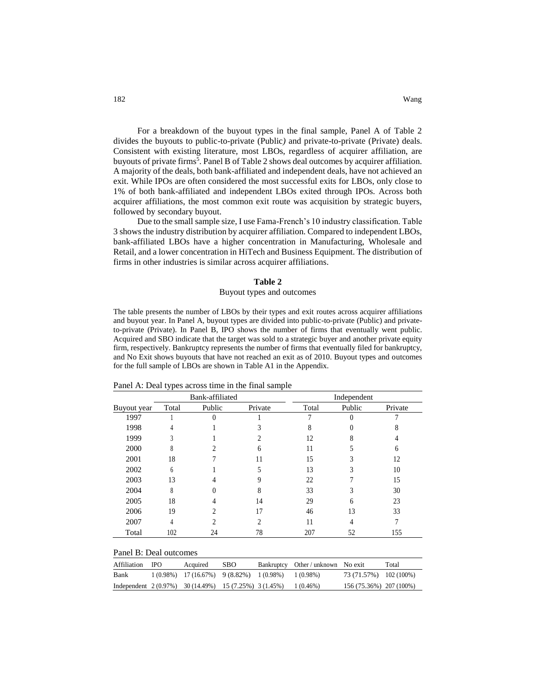For a breakdown of the buyout types in the final sample, Panel A of Table 2 divides the buyouts to public-to-private (Public*)* and private-to-private (Private) deals. Consistent with existing literature, most LBOs, regardless of acquirer affiliation, are buyouts of private firms<sup>5</sup>. Panel B of Table 2 shows deal outcomes by acquirer affiliation. A majority of the deals, both bank-affiliated and independent deals, have not achieved an exit. While IPOs are often considered the most successful exits for LBOs, only close to 1% of both bank-affiliated and independent LBOs exited through IPOs. Across both acquirer affiliations, the most common exit route was acquisition by strategic buyers, followed by secondary buyout.

Due to the small sample size, I use Fama-French's 10 industry classification. Table 3 shows the industry distribution by acquirer affiliation. Compared to independent LBOs, bank-affiliated LBOs have a higher concentration in Manufacturing, Wholesale and Retail, and a lower concentration in HiTech and Business Equipment. The distribution of firms in other industries is similar across acquirer affiliations.

#### **Table 2**

#### Buyout types and outcomes

The table presents the number of LBOs by their types and exit routes across acquirer affiliations and buyout year. In Panel A, buyout types are divided into public-to-private (Public) and privateto-private (Private). In Panel B, IPO shows the number of firms that eventually went public. Acquired and SBO indicate that the target was sold to a strategic buyer and another private equity firm, respectively. Bankruptcy represents the number of firms that eventually filed for bankruptcy, and No Exit shows buyouts that have not reached an exit as of 2010. Buyout types and outcomes for the full sample of LBOs are shown in Table A1 in the Appendix.

|             |        | Bank-affiliated |         |       | Independent |         |
|-------------|--------|-----------------|---------|-------|-------------|---------|
| Buyout year | Total  | Public          | Private | Total | Public      | Private |
| 1997        |        | 0               |         |       | 0           |         |
| 1998        | 4      |                 |         | 8     |             | 8       |
| 1999        | 3      |                 |         | 12    | 8           | 4       |
| 2000        | Ω<br>δ |                 | 6       | 11    |             | 6       |
| 2001        | 18     |                 | 11      | 15    |             | 12      |
| 2002        | 6      |                 | C       | 13    |             | 10      |
| 2003        | 13     | 4               | q       | 22    |             | 15      |
| 2004        | 8      | 0               | 8       | 33    | 3           | 30      |
| 2005        | 18     |                 | 14      | 29    | 6           | 23      |
| 2006        | 19     | ↑               | 17      | 46    | 13          | 33      |
| 2007        | 4      | 2               | 2       | 11    | 4           |         |
| Total       | 102    | 24              | 78      | 207   | 52          | 155     |

Panel A: Deal types across time in the final sample

| Panel B: Deal outcomes |  |
|------------------------|--|
|------------------------|--|

| Affiliation IPO | Acquired                                                                   | SBO | Bankruptcy Other/unknown No exit |                         | Total |
|-----------------|----------------------------------------------------------------------------|-----|----------------------------------|-------------------------|-------|
| Bank            | $1(0.98\%)$ 17 (16.67%) 9 (8.82%) 1 (0.98%) 1 (0.98%)                      |     |                                  | 73 (71.57%) 102 (100%)  |       |
|                 | Independent $2(0.97\%)$ $30(14.49\%)$ $15(7.25\%)$ $3(1.45\%)$ $1(0.46\%)$ |     |                                  | 156 (75.36%) 207 (100%) |       |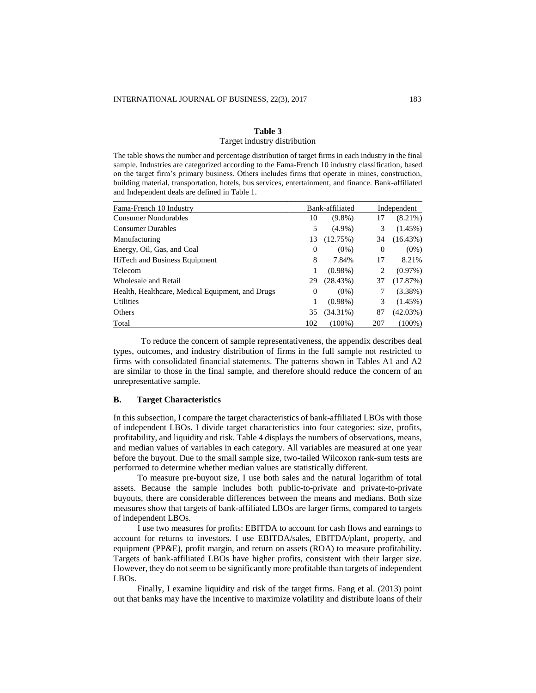#### **Table 3** Target industry distribution

The table shows the number and percentage distribution of target firms in each industry in the final sample. Industries are categorized according to the Fama-French 10 industry classification, based on the target firm's primary business. Others includes firms that operate in mines, construction, building material, transportation, hotels, bus services, entertainment, and finance. Bank-affiliated and Independent deals are defined in Table 1.

| Fama-French 10 Industry                          |          | Bank-affiliated |          | Independent |
|--------------------------------------------------|----------|-----------------|----------|-------------|
| <b>Consumer Nondurables</b>                      | 10       | $(9.8\%)$       | 17       | $(8.21\%)$  |
| <b>Consumer Durables</b>                         | 5        | $(4.9\%)$       | 3        | $(1.45\%)$  |
| Manufacturing                                    | 13       | (12.75%)        | 34       | (16.43%)    |
| Energy, Oil, Gas, and Coal                       | $\Omega$ | $(0\%)$         | $\Omega$ | $(0\%)$     |
| HiTech and Business Equipment                    | 8        | 7.84%           | 17       | 8.21%       |
| Telecom                                          |          | $(0.98\%)$      | 2        | $(0.97\%)$  |
| Wholesale and Retail                             | 29       | (28.43%)        | 37       | (17.87%)    |
| Health, Healthcare, Medical Equipment, and Drugs | $\Omega$ | $(0\%)$         |          | $(3.38\%)$  |
| <b>Utilities</b>                                 |          | $(0.98\%)$      | 3        | $(1.45\%)$  |
| Others                                           | 35       | $(34.31\%)$     | 87       | (42.03%)    |
| Total                                            | 102      | $(100\%)$       | 207      | $(100\%)$   |

To reduce the concern of sample representativeness, the appendix describes deal types, outcomes, and industry distribution of firms in the full sample not restricted to firms with consolidated financial statements. The patterns shown in Tables A1 and A2 are similar to those in the final sample, and therefore should reduce the concern of an unrepresentative sample.

#### **B. Target Characteristics**

In this subsection, I compare the target characteristics of bank-affiliated LBOs with those of independent LBOs. I divide target characteristics into four categories: size, profits, profitability, and liquidity and risk. Table 4 displays the numbers of observations, means, and median values of variables in each category. All variables are measured at one year before the buyout. Due to the small sample size, two-tailed Wilcoxon rank-sum tests are performed to determine whether median values are statistically different.

To measure pre-buyout size, I use both sales and the natural logarithm of total assets. Because the sample includes both public-to-private and private-to-private buyouts, there are considerable differences between the means and medians. Both size measures show that targets of bank-affiliated LBOs are larger firms, compared to targets of independent LBOs.

I use two measures for profits: EBITDA to account for cash flows and earnings to account for returns to investors. I use EBITDA/sales, EBITDA/plant, property, and equipment (PP&E), profit margin, and return on assets (ROA) to measure profitability. Targets of bank-affiliated LBOs have higher profits, consistent with their larger size. However, they do not seem to be significantly more profitable than targets of independent LBOs.

Finally, I examine liquidity and risk of the target firms. Fang et al. (2013) point out that banks may have the incentive to maximize volatility and distribute loans of their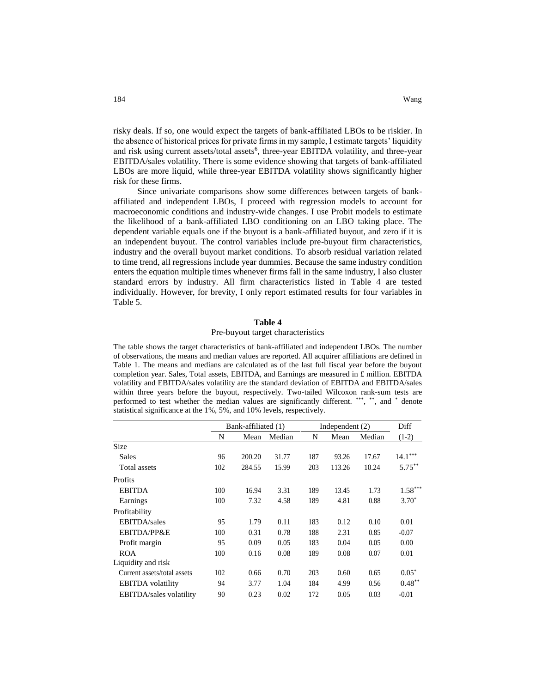risky deals. If so, one would expect the targets of bank-affiliated LBOs to be riskier. In the absence of historical prices for private firms in my sample, I estimate targets' liquidity and risk using current assets/total assets<sup>6</sup>, three-year EBITDA volatility, and three-year EBITDA/sales volatility. There is some evidence showing that targets of bank-affiliated LBOs are more liquid, while three-year EBITDA volatility shows significantly higher risk for these firms.

Since univariate comparisons show some differences between targets of bankaffiliated and independent LBOs, I proceed with regression models to account for macroeconomic conditions and industry-wide changes. I use Probit models to estimate the likelihood of a bank-affiliated LBO conditioning on an LBO taking place. The dependent variable equals one if the buyout is a bank-affiliated buyout, and zero if it is an independent buyout. The control variables include pre-buyout firm characteristics, industry and the overall buyout market conditions. To absorb residual variation related to time trend, all regressions include year dummies. Because the same industry condition enters the equation multiple times whenever firms fall in the same industry, I also cluster standard errors by industry. All firm characteristics listed in Table 4 are tested individually. However, for brevity, I only report estimated results for four variables in Table 5.

#### **Table 4**

#### Pre-buyout target characteristics

The table shows the target characteristics of bank-affiliated and independent LBOs. The number of observations, the means and median values are reported. All acquirer affiliations are defined in Table 1. The means and medians are calculated as of the last full fiscal year before the buyout completion year. Sales, Total assets, EBITDA, and Earnings are measured in £ million. EBITDA volatility and EBITDA/sales volatility are the standard deviation of EBITDA and EBITDA/sales within three years before the buyout, respectively. Two-tailed Wilcoxon rank-sum tests are performed to test whether the median values are significantly different. \*\*\*, \*\*, and \* denote statistical significance at the 1%, 5%, and 10% levels, respectively.

|                                 |     | Bank-affiliated (1) |        | Independent $(2)$ |        |        | Diff      |
|---------------------------------|-----|---------------------|--------|-------------------|--------|--------|-----------|
|                                 | N   | Mean                | Median | N                 | Mean   | Median | $(1-2)$   |
| Size                            |     |                     |        |                   |        |        |           |
| <b>Sales</b>                    | 96  | 200.20              | 31.77  | 187               | 93.26  | 17.67  | $14.1***$ |
| Total assets                    | 102 | 284.55              | 15.99  | 203               | 113.26 | 10.24  | $5.75***$ |
| Profits                         |     |                     |        |                   |        |        |           |
| <b>EBITDA</b>                   | 100 | 16.94               | 3.31   | 189               | 13.45  | 1.73   | $1.58***$ |
| Earnings                        | 100 | 7.32                | 4.58   | 189               | 4.81   | 0.88   | $3.70*$   |
| Profitability                   |     |                     |        |                   |        |        |           |
| <b>EBITDA</b> /sales            | 95  | 1.79                | 0.11   | 183               | 0.12   | 0.10   | 0.01      |
| EBITDA/PP&E                     | 100 | 0.31                | 0.78   | 188               | 2.31   | 0.85   | $-0.07$   |
| Profit margin                   | 95  | 0.09                | 0.05   | 183               | 0.04   | 0.05   | 0.00      |
| <b>ROA</b>                      | 100 | 0.16                | 0.08   | 189               | 0.08   | 0.07   | 0.01      |
| Liquidity and risk              |     |                     |        |                   |        |        |           |
| Current assets/total assets     | 102 | 0.66                | 0.70   | 203               | 0.60   | 0.65   | $0.05*$   |
| <b>EBITDA</b> volatility        | 94  | 3.77                | 1.04   | 184               | 4.99   | 0.56   | $0.48***$ |
| <b>EBITDA</b> /sales volatility | 90  | 0.23                | 0.02   | 172               | 0.05   | 0.03   | $-0.01$   |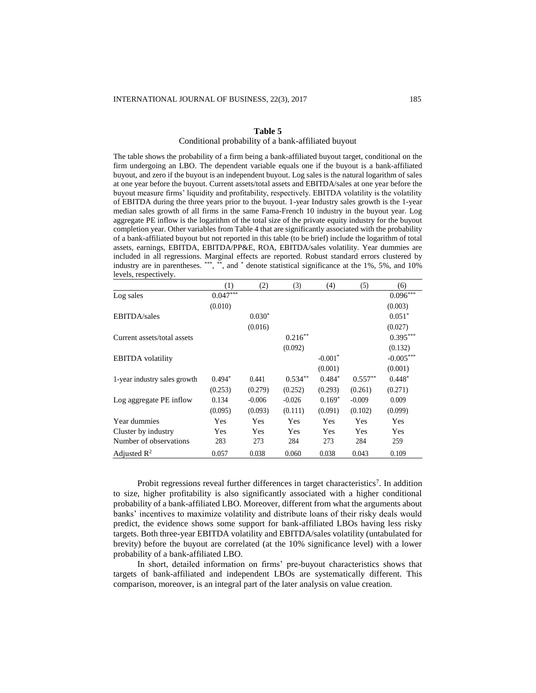#### Conditional probability of a bank-affiliated buyout

The table shows the probability of a firm being a bank-affiliated buyout target, conditional on the firm undergoing an LBO. The dependent variable equals one if the buyout is a bank-affiliated buyout, and zero if the buyout is an independent buyout. Log sales is the natural logarithm of sales at one year before the buyout. Current assets/total assets and EBITDA/sales at one year before the buyout measure firms' liquidity and profitability, respectively. EBITDA volatility is the volatility of EBITDA during the three years prior to the buyout. 1-year Industry sales growth is the 1-year median sales growth of all firms in the same Fama-French 10 industry in the buyout year. Log aggregate PE inflow is the logarithm of the total size of the private equity industry for the buyout completion year. Other variables from Table 4 that are significantly associated with the probability of a bank-affiliated buyout but not reported in this table (to be brief) include the logarithm of total assets, earnings, EBITDA, EBITDA/PP&E, ROA, EBITDA/sales volatility. Year dummies are included in all regressions. Marginal effects are reported. Robust standard errors clustered by industry are in parentheses. \*\*\*, \*\*\*, and \* denote statistical significance at the 1%, 5%, and 10% levels, respectively.

|                              | (1)        | (2)        | (3)        | (4)        | (5)        | (6)         |
|------------------------------|------------|------------|------------|------------|------------|-------------|
| Log sales                    | $0.047***$ |            |            |            |            | $0.096***$  |
|                              | (0.010)    |            |            |            |            | (0.003)     |
| <b>EBITDA</b> /sales         |            | $0.030*$   |            |            |            | $0.051*$    |
|                              |            | (0.016)    |            |            |            | (0.027)     |
| Current assets/total assets  |            |            | $0.216***$ |            |            | $0.395***$  |
|                              |            |            | (0.092)    |            |            | (0.132)     |
| <b>EBITDA</b> volatility     |            |            |            | $-0.001*$  |            | $-0.005***$ |
|                              |            |            |            | (0.001)    |            | (0.001)     |
| 1-year industry sales growth | $0.494*$   | 0.441      | $0.534**$  | $0.484*$   | $0.557***$ | $0.448*$    |
|                              | (0.253)    | (0.279)    | (0.252)    | (0.293)    | (0.261)    | (0.271)     |
| Log aggregate PE inflow      | 0.134      | $-0.006$   | $-0.026$   | $0.169*$   | $-0.009$   | 0.009       |
|                              | (0.095)    | (0.093)    | (0.111)    | (0.091)    | (0.102)    | (0.099)     |
| Year dummies                 | Yes        | <b>Yes</b> | Yes        | <b>Yes</b> | <b>Yes</b> | Yes         |
| Cluster by industry          | Yes        | <b>Yes</b> | <b>Yes</b> | <b>Yes</b> | <b>Yes</b> | Yes         |
| Number of observations       | 283        | 273        | 284        | 273        | 284        | 259         |
| Adjusted $\mathbb{R}^2$      | 0.057      | 0.038      | 0.060      | 0.038      | 0.043      | 0.109       |

Probit regressions reveal further differences in target characteristics<sup>7</sup>. In addition to size, higher profitability is also significantly associated with a higher conditional probability of a bank-affiliated LBO. Moreover, different from what the arguments about banks' incentives to maximize volatility and distribute loans of their risky deals would predict, the evidence shows some support for bank-affiliated LBOs having less risky targets. Both three-year EBITDA volatility and EBITDA/sales volatility (untabulated for brevity) before the buyout are correlated (at the 10% significance level) with a lower probability of a bank-affiliated LBO.

In short, detailed information on firms' pre-buyout characteristics shows that targets of bank-affiliated and independent LBOs are systematically different. This comparison, moreover, is an integral part of the later analysis on value creation.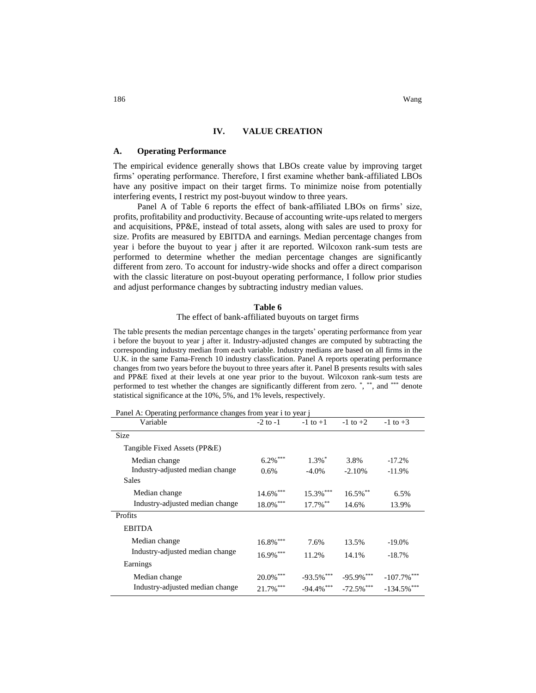#### **IV. VALUE CREATION**

#### **A. Operating Performance**

The empirical evidence generally shows that LBOs create value by improving target firms' operating performance. Therefore, I first examine whether bank-affiliated LBOs have any positive impact on their target firms. To minimize noise from potentially interfering events, I restrict my post-buyout window to three years.

Panel A of Table 6 reports the effect of bank-affiliated LBOs on firms' size, profits, profitability and productivity. Because of accounting write-ups related to mergers and acquisitions, PP&E, instead of total assets, along with sales are used to proxy for size. Profits are measured by EBITDA and earnings. Median percentage changes from year i before the buyout to year j after it are reported. Wilcoxon rank-sum tests are performed to determine whether the median percentage changes are significantly different from zero. To account for industry-wide shocks and offer a direct comparison with the classic literature on post-buyout operating performance, I follow prior studies and adjust performance changes by subtracting industry median values.

#### **Table 6**

#### The effect of bank-affiliated buyouts on target firms

The table presents the median percentage changes in the targets' operating performance from year i before the buyout to year j after it. Industry-adjusted changes are computed by subtracting the corresponding industry median from each variable. Industry medians are based on all firms in the U.K. in the same Fama-French 10 industry classfication. Panel A reports operating performance changes from two years before the buyout to three years after it. Panel B presents results with sales and PP&E fixed at their levels at one year prior to the buyout. Wilcoxon rank-sum tests are performed to test whether the changes are significantly different from zero. \*, \*\*, and \*\*\* denote statistical significance at the 10%, 5%, and 1% levels, respectively.

Panel A: Operating performance changes from year i to year j

| 01<br>Variable                  | $-2$ to $-1$ | $-1$ to $+1$  | $-1$ to $+2$  | $-1$ to $+3$   |
|---------------------------------|--------------|---------------|---------------|----------------|
| Size                            |              |               |               |                |
| Tangible Fixed Assets (PP&E)    |              |               |               |                |
| Median change                   | $6.2\%$ ***  | $1.3\%$ *     | 3.8%          | $-17.2%$       |
| Industry-adjusted median change | $0.6\%$      | $-4.0\%$      | $-2.10%$      | $-11.9%$       |
| Sales                           |              |               |               |                |
| Median change                   | $14.6\%$ *** | 15.3%***      | $16.5%$ **    | 6.5%           |
| Industry-adjusted median change | $18.0\%$ *** | 17.7%**       | 14.6%         | 13.9%          |
| Profits                         |              |               |               |                |
| <b>EBITDA</b>                   |              |               |               |                |
| Median change                   | $16.8\%$ *** | 7.6%          | 13.5%         | $-19.0%$       |
| Industry-adjusted median change | 16.9%***     | 11.2%         | 14.1%         | $-18.7%$       |
| Earnings                        |              |               |               |                |
| Median change                   | $20.0\%$ *** | $-93.5%$ ***  | $-95.9\%$ *** | $-107.7\%$ *** |
| Industry-adjusted median change | 21.7%***     | $-94.4\%$ *** | $-72.5\%$ *** | $-134.5%$ ***  |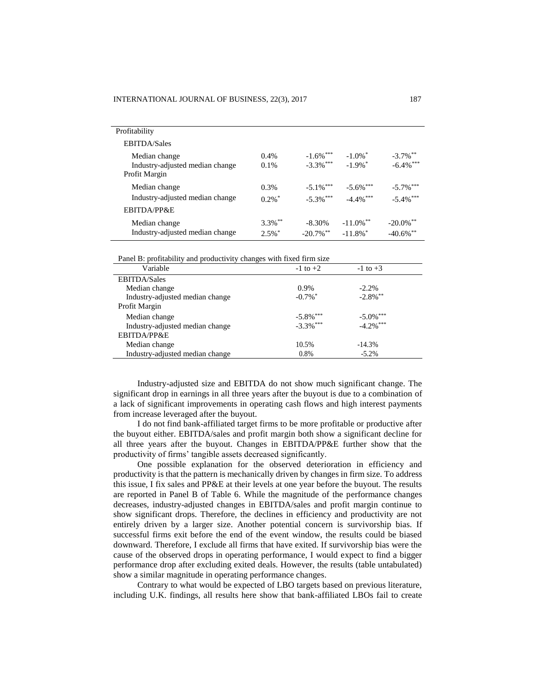| Profitability                                                     |                                               |                                                    |                                                   |                                          |
|-------------------------------------------------------------------|-----------------------------------------------|----------------------------------------------------|---------------------------------------------------|------------------------------------------|
| <b>EBITDA/Sales</b>                                               |                                               |                                                    |                                                   |                                          |
| Median change<br>Industry-adjusted median change<br>Profit Margin | $0.4\%$<br>0.1%                               | $-1.6\%$ ***<br>$-3.3\%$ ***                       | $-1.0\%$ <sup>*</sup><br>$-1.9\%$ <sup>*</sup>    | $-3.7\%$ **<br>-6.4%***                  |
| Median change<br>Industry-adjusted median change                  | 0.3%<br>$0.2\%$ <sup>*</sup>                  | $-5.1\%$ <sup>***</sup><br>$-5.3\%$ <sup>***</sup> | $-5.6\%$ <sup>***</sup><br>$-4.4\%$ ***           | $-5.7\%$ <sup>****</sup><br>$-5.4\%$ *** |
| EBITDA/PP&E                                                       |                                               |                                                    |                                                   |                                          |
| Median change<br>Industry-adjusted median change                  | $3.3\%$ <sup>**</sup><br>$2.5\%$ <sup>*</sup> | $-8.30\%$<br>$-20.7\%$ <sup>**</sup>               | $-11.0\%$ <sup>**</sup><br>$-11.8\%$ <sup>*</sup> | $-20.0\%$ **<br>$-40.6\%$ **             |

Panel B: profitability and productivity changes with fixed firm size

| I and D. profitability and productivity changes with fixed fifth size |                       |                              |  |  |
|-----------------------------------------------------------------------|-----------------------|------------------------------|--|--|
| Variable                                                              | $-1$ to $+2$          | $-1$ to $+3$                 |  |  |
| <b>EBITDA/Sales</b>                                                   |                       |                              |  |  |
| Median change                                                         | 0.9%                  | $-2.2\%$                     |  |  |
| Industry-adjusted median change                                       | $-0.7\%$ <sup>*</sup> | $-2.8\%$ <sup>**</sup>       |  |  |
| Profit Margin                                                         |                       |                              |  |  |
| Median change                                                         | $-5.8\%$ ***          | $-5.0\%$ ***<br>$-4.2\%$ *** |  |  |
| Industry-adjusted median change                                       | $-3.3\%$ ***          |                              |  |  |
| EBITDA/PP&E                                                           |                       |                              |  |  |
| Median change                                                         | 10.5%                 | $-14.3\%$                    |  |  |
| Industry-adjusted median change                                       | 0.8%                  | $-5.2\%$                     |  |  |
|                                                                       |                       |                              |  |  |

Industry-adjusted size and EBITDA do not show much significant change. The significant drop in earnings in all three years after the buyout is due to a combination of a lack of significant improvements in operating cash flows and high interest payments from increase leveraged after the buyout.

I do not find bank-affiliated target firms to be more profitable or productive after the buyout either. EBITDA/sales and profit margin both show a significant decline for all three years after the buyout. Changes in EBITDA/PP&E further show that the productivity of firms' tangible assets decreased significantly.

One possible explanation for the observed deterioration in efficiency and productivity is that the pattern is mechanically driven by changes in firm size. To address this issue, I fix sales and PP&E at their levels at one year before the buyout. The results are reported in Panel B of Table 6. While the magnitude of the performance changes decreases, industry-adjusted changes in EBITDA/sales and profit margin continue to show significant drops. Therefore, the declines in efficiency and productivity are not entirely driven by a larger size. Another potential concern is survivorship bias. If successful firms exit before the end of the event window, the results could be biased downward. Therefore, I exclude all firms that have exited. If survivorship bias were the cause of the observed drops in operating performance, I would expect to find a bigger performance drop after excluding exited deals. However, the results (table untabulated) show a similar magnitude in operating performance changes.

Contrary to what would be expected of LBO targets based on previous literature, including U.K. findings, all results here show that bank-affiliated LBOs fail to create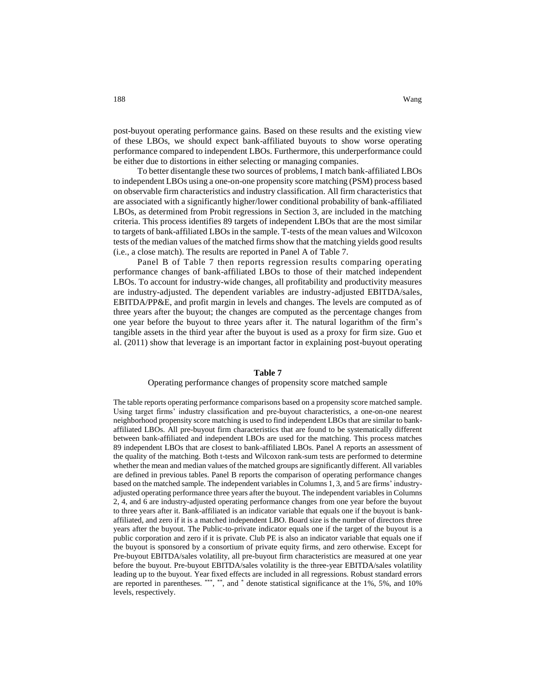post-buyout operating performance gains. Based on these results and the existing view of these LBOs, we should expect bank-affiliated buyouts to show worse operating performance compared to independent LBOs. Furthermore, this underperformance could be either due to distortions in either selecting or managing companies.

To better disentangle these two sources of problems, I match bank-affiliated LBOs to independent LBOs using a one-on-one propensity score matching (PSM) process based on observable firm characteristics and industry classification. All firm characteristics that are associated with a significantly higher/lower conditional probability of bank-affiliated LBOs, as determined from Probit regressions in Section 3, are included in the matching criteria. This process identifies 89 targets of independent LBOs that are the most similar to targets of bank-affiliated LBOs in the sample. T-tests of the mean values and Wilcoxon tests of the median values of the matched firms show that the matching yields good results (i.e., a close match). The results are reported in Panel A of Table 7.

Panel B of Table 7 then reports regression results comparing operating performance changes of bank-affiliated LBOs to those of their matched independent LBOs. To account for industry-wide changes, all profitability and productivity measures are industry-adjusted. The dependent variables are industry-adjusted EBITDA/sales, EBITDA/PP&E, and profit margin in levels and changes. The levels are computed as of three years after the buyout; the changes are computed as the percentage changes from one year before the buyout to three years after it. The natural logarithm of the firm's tangible assets in the third year after the buyout is used as a proxy for firm size. Guo et al. (2011) show that leverage is an important factor in explaining post-buyout operating

#### **Table 7**

#### Operating performance changes of propensity score matched sample

The table reports operating performance comparisons based on a propensity score matched sample. Using target firms' industry classification and pre-buyout characteristics, a one-on-one nearest neighborhood propensity score matching is used to find independent LBOs that are similar to bankaffiliated LBOs. All pre-buyout firm characteristics that are found to be systematically different between bank-affiliated and independent LBOs are used for the matching. This process matches 89 independent LBOs that are closest to bank-affiliated LBOs. Panel A reports an assessment of the quality of the matching. Both t-tests and Wilcoxon rank-sum tests are performed to determine whether the mean and median values of the matched groups are significantly different. All variables are defined in previous tables. Panel B reports the comparison of operating performance changes based on the matched sample. The independent variables in Columns 1, 3, and 5 are firms' industryadjusted operating performance three years after the buyout. The independent variables in Columns 2, 4, and 6 are industry-adjusted operating performance changes from one year before the buyout to three years after it. Bank-affiliated is an indicator variable that equals one if the buyout is bankaffiliated, and zero if it is a matched independent LBO. Board size is the number of directors three years after the buyout. The Public-to-private indicator equals one if the target of the buyout is a public corporation and zero if it is private. Club PE is also an indicator variable that equals one if the buyout is sponsored by a consortium of private equity firms, and zero otherwise. Except for Pre-buyout EBITDA/sales volatility, all pre-buyout firm characteristics are measured at one year before the buyout. Pre-buyout EBITDA/sales volatility is the three-year EBITDA/sales volatility leading up to the buyout. Year fixed effects are included in all regressions. Robust standard errors are reported in parentheses. \*\*\*, \*\*\*, and \* denote statistical significance at the 1%, 5%, and 10% levels, respectively.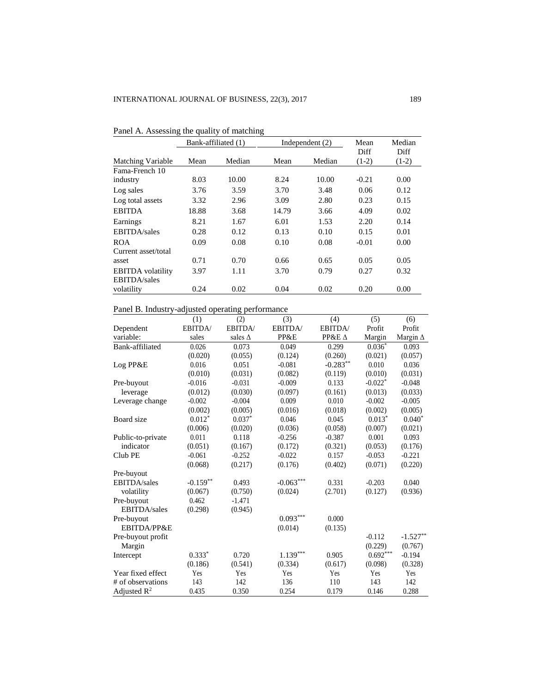|                          | Bank-affiliated (1) |        |       | Independent $(2)$<br>Mean |                 | Median          |
|--------------------------|---------------------|--------|-------|---------------------------|-----------------|-----------------|
| Matching Variable        | Mean                | Median | Mean  | Median                    | Diff<br>$(1-2)$ | Diff<br>$(1-2)$ |
| Fama-French 10           |                     |        |       |                           |                 |                 |
| industry                 | 8.03                | 10.00  | 8.24  | 10.00                     | $-0.21$         | 0.00            |
| Log sales                | 3.76                | 3.59   | 3.70  | 3.48                      | 0.06            | 0.12            |
| Log total assets         | 3.32                | 2.96   | 3.09  | 2.80                      | 0.23            | 0.15            |
| <b>EBITDA</b>            | 18.88               | 3.68   | 14.79 | 3.66                      | 4.09            | 0.02            |
| Earnings                 | 8.21                | 1.67   | 6.01  | 1.53                      | 2.20            | 0.14            |
| <b>EBITDA</b> /sales     | 0.28                | 0.12   | 0.13  | 0.10                      | 0.15            | 0.01            |
| <b>ROA</b>               | 0.09                | 0.08   | 0.10  | 0.08                      | $-0.01$         | 0.00            |
| Current asset/total      |                     |        |       |                           |                 |                 |
| asset                    | 0.71                | 0.70   | 0.66  | 0.65                      | 0.05            | 0.05            |
| <b>EBITDA</b> volatility | 3.97                | 1.11   | 3.70  | 0.79                      | 0.27            | 0.32            |
| <b>EBITDA</b> /sales     |                     |        |       |                           |                 |                 |
| volatility               | 0.24                | 0.02   | 0.04  | 0.02                      | 0.20            | 0.00            |

Panel A. Assessing the quality of matching

# Panel B. Industry-adjusted operating performance

|                        | (1)        | (2)            | (3)           | (4)        | (5)        | (6)             |
|------------------------|------------|----------------|---------------|------------|------------|-----------------|
| Dependent              | EBITDA/    | EBITDA/        | <b>EBITDA</b> | EBITDA/    | Profit     | Profit          |
| variable:              | sales      | sales $\Delta$ | PP&E          | PP&E Δ     | Margin     | Margin $\Delta$ |
| Bank-affiliated        | 0.026      | 0.073          | 0.049         | 0.299      | $0.036*$   | 0.093           |
|                        | (0.020)    | (0.055)        | (0.124)       | (0.260)    | (0.021)    | (0.057)         |
| Log PP&E               | 0.016      | 0.051          | $-0.081$      | $-0.283**$ | 0.010      | 0.036           |
|                        | (0.010)    | (0.031)        | (0.082)       | (0.119)    | (0.010)    | (0.031)         |
| Pre-buyout             | $-0.016$   | $-0.031$       | $-0.009$      | 0.133      | $-0.022*$  | $-0.048$        |
| leverage               | (0.012)    | (0.030)        | (0.097)       | (0.161)    | (0.013)    | (0.033)         |
| Leverage change        | $-0.002$   | $-0.004$       | 0.009         | 0.010      | $-0.002$   | $-0.005$        |
|                        | (0.002)    | (0.005)        | (0.016)       | (0.018)    | (0.002)    | (0.005)         |
| Board size             | $0.012*$   | $0.037*$       | 0.046         | 0.045      | $0.013*$   | $0.040*$        |
|                        | (0.006)    | (0.020)        | (0.036)       | (0.058)    | (0.007)    | (0.021)         |
| Public-to-private      | 0.011      | 0.118          | $-0.256$      | $-0.387$   | 0.001      | 0.093           |
| indicator              | (0.051)    | (0.167)        | (0.172)       | (0.321)    | (0.053)    | (0.176)         |
| Club PE                | $-0.061$   | $-0.252$       | $-0.022$      | 0.157      | $-0.053$   | $-0.221$        |
|                        | (0.068)    | (0.217)        | (0.176)       | (0.402)    | (0.071)    | (0.220)         |
| Pre-buyout             |            |                |               |            |            |                 |
| EBITDA/sales           | $-0.159**$ | 0.493          | $-0.063***$   | 0.331      | $-0.203$   | 0.040           |
| volatility             | (0.067)    | (0.750)        | (0.024)       | (2.701)    | (0.127)    | (0.936)         |
| Pre-buyout             | 0.462      | $-1.471$       |               |            |            |                 |
| <b>EBITDA</b> /sales   | (0.298)    | (0.945)        |               |            |            |                 |
| Pre-buyout             |            |                | $0.093***$    | 0.000      |            |                 |
| <b>EBITDA/PP&amp;E</b> |            |                | (0.014)       | (0.135)    |            |                 |
| Pre-buyout profit      |            |                |               |            | $-0.112$   | $-1.527**$      |
| Margin                 |            |                |               |            | (0.229)    | (0.767)         |
| Intercept              | $0.333*$   | 0.720          | $1.139***$    | 0.905      | $0.692***$ | $-0.194$        |
|                        | (0.186)    | (0.541)        | (0.334)       | (0.617)    | (0.098)    | (0.328)         |
| Year fixed effect      | Yes        | Yes            | Yes           | Yes        | Yes        | Yes             |
| # of observations      | 143        | 142            | 136           | 110        | 143        | 142             |
| Adjusted $R^2$         | 0.435      | 0.350          | 0.254         | 0.179      | 0.146      | 0.288           |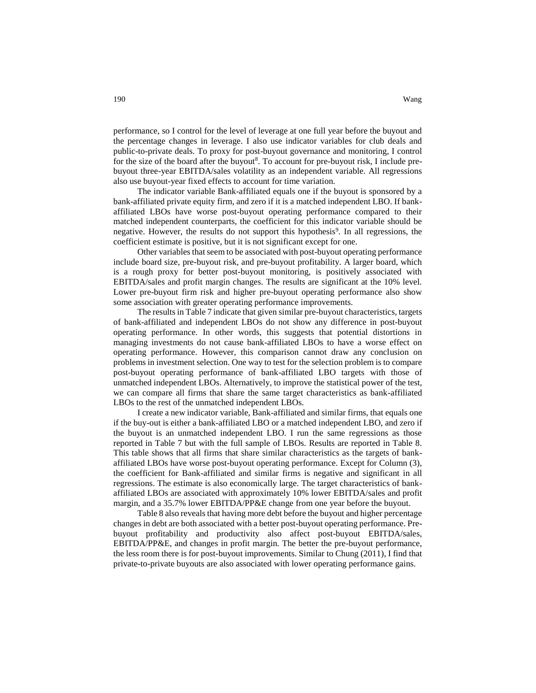performance, so I control for the level of leverage at one full year before the buyout and the percentage changes in leverage. I also use indicator variables for club deals and public-to-private deals. To proxy for post-buyout governance and monitoring, I control for the size of the board after the buyout<sup>8</sup>. To account for pre-buyout risk, I include prebuyout three-year EBITDA/sales volatility as an independent variable. All regressions also use buyout-year fixed effects to account for time variation.

The indicator variable Bank-affiliated equals one if the buyout is sponsored by a bank-affiliated private equity firm, and zero if it is a matched independent LBO. If bankaffiliated LBOs have worse post-buyout operating performance compared to their matched independent counterparts, the coefficient for this indicator variable should be negative. However, the results do not support this hypothesis<sup>9</sup>. In all regressions, the coefficient estimate is positive, but it is not significant except for one.

Other variables that seem to be associated with post-buyout operating performance include board size, pre-buyout risk, and pre-buyout profitability. A larger board, which is a rough proxy for better post-buyout monitoring, is positively associated with EBITDA/sales and profit margin changes. The results are significant at the 10% level. Lower pre-buyout firm risk and higher pre-buyout operating performance also show some association with greater operating performance improvements.

The results in Table 7 indicate that given similar pre-buyout characteristics, targets of bank-affiliated and independent LBOs do not show any difference in post-buyout operating performance. In other words, this suggests that potential distortions in managing investments do not cause bank-affiliated LBOs to have a worse effect on operating performance. However, this comparison cannot draw any conclusion on problems in investment selection. One way to test for the selection problem is to compare post-buyout operating performance of bank-affiliated LBO targets with those of unmatched independent LBOs. Alternatively, to improve the statistical power of the test, we can compare all firms that share the same target characteristics as bank-affiliated LBOs to the rest of the unmatched independent LBOs.

I create a new indicator variable, Bank-affiliated and similar firms, that equals one if the buy-out is either a bank-affiliated LBO or a matched independent LBO, and zero if the buyout is an unmatched independent LBO. I run the same regressions as those reported in Table 7 but with the full sample of LBOs. Results are reported in Table 8. This table shows that all firms that share similar characteristics as the targets of bankaffiliated LBOs have worse post-buyout operating performance. Except for Column (3), the coefficient for Bank-affiliated and similar firms is negative and significant in all regressions. The estimate is also economically large. The target characteristics of bankaffiliated LBOs are associated with approximately 10% lower EBITDA/sales and profit margin, and a 35.7% lower EBITDA/PP&E change from one year before the buyout.

Table 8 also reveals that having more debt before the buyout and higher percentage changes in debt are both associated with a better post-buyout operating performance. Prebuyout profitability and productivity also affect post-buyout EBITDA/sales, EBITDA/PP&E, and changes in profit margin. The better the pre-buyout performance, the less room there is for post-buyout improvements. Similar to Chung (2011), I find that private-to-private buyouts are also associated with lower operating performance gains.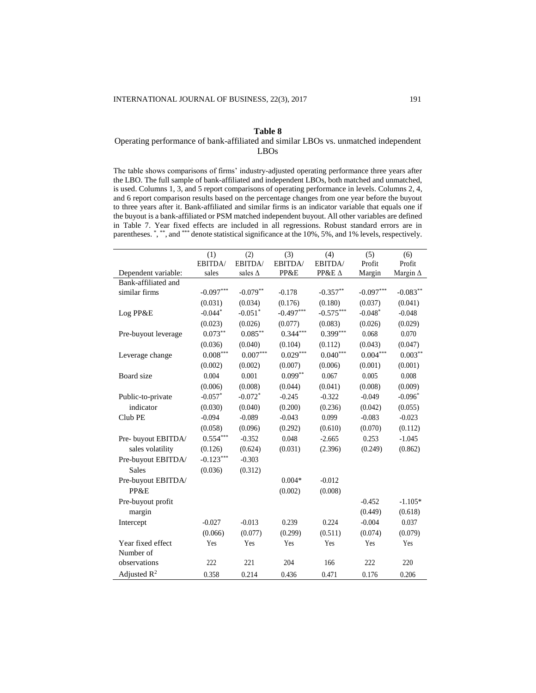# Operating performance of bank-affiliated and similar LBOs vs. unmatched independent LBOs

The table shows comparisons of firms' industry-adjusted operating performance three years after the LBO. The full sample of bank-affiliated and independent LBOs, both matched and unmatched, is used. Columns 1, 3, and 5 report comparisons of operating performance in levels. Columns 2, 4, and 6 report comparison results based on the percentage changes from one year before the buyout to three years after it. Bank-affiliated and similar firms is an indicator variable that equals one if the buyout is a bank-affiliated or PSM matched independent buyout. All other variables are defined in Table 7. Year fixed effects are included in all regressions. Robust standard errors are in parentheses. \*, \*\*, and \*\*\* denote statistical significance at the 10%, 5%, and 1% levels, respectively.

|                         | (1)         | (2)            | (3)           | (4)         | (5)         | (6)             |
|-------------------------|-------------|----------------|---------------|-------------|-------------|-----------------|
|                         | EBITDA/     | <b>EBITDA</b>  | <b>EBITDA</b> | EBITDA/     | Profit      | Profit          |
| Dependent variable:     | sales       | sales $\Delta$ | PP&E          | PP&E Δ      | Margin      | Margin $\Delta$ |
| Bank-affiliated and     |             |                |               |             |             |                 |
| similar firms           | $-0.097***$ | $-0.079**$     | $-0.178$      | $-0.357**$  | $-0.097***$ | $-0.083**$      |
|                         | (0.031)     | (0.034)        | (0.176)       | (0.180)     | (0.037)     | (0.041)         |
| Log PP&E                | $-0.044*$   | $-0.051*$      | $-0.497***$   | $-0.575***$ | $-0.048*$   | $-0.048$        |
|                         | (0.023)     | (0.026)        | (0.077)       | (0.083)     | (0.026)     | (0.029)         |
| Pre-buyout leverage     | $0.073**$   | $0.085***$     | $0.344***$    | $0.399***$  | 0.068       | 0.070           |
|                         | (0.036)     | (0.040)        | (0.104)       | (0.112)     | (0.043)     | (0.047)         |
| Leverage change         | $0.008***$  | $0.007***$     | $0.029***$    | $0.040***$  | $0.004***$  | $0.003***$      |
|                         | (0.002)     | (0.002)        | (0.007)       | (0.006)     | (0.001)     | (0.001)         |
| Board size              | 0.004       | 0.001          | $0.099**$     | 0.067       | 0.005       | 0.008           |
|                         | (0.006)     | (0.008)        | (0.044)       | (0.041)     | (0.008)     | (0.009)         |
| Public-to-private       | $-0.057*$   | $-0.072*$      | $-0.245$      | $-0.322$    | $-0.049$    | $-0.096*$       |
| indicator               | (0.030)     | (0.040)        | (0.200)       | (0.236)     | (0.042)     | (0.055)         |
| Club PE                 | $-0.094$    | $-0.089$       | $-0.043$      | 0.099       | $-0.083$    | $-0.023$        |
|                         | (0.058)     | (0.096)        | (0.292)       | (0.610)     | (0.070)     | (0.112)         |
| Pre-buyout EBITDA/      | $0.554***$  | $-0.352$       | 0.048         | $-2.665$    | 0.253       | $-1.045$        |
| sales volatility        | (0.126)     | (0.624)        | (0.031)       | (2.396)     | (0.249)     | (0.862)         |
| Pre-buyout EBITDA/      | $-0.123***$ | $-0.303$       |               |             |             |                 |
| <b>Sales</b>            | (0.036)     | (0.312)        |               |             |             |                 |
| Pre-buyout EBITDA/      |             |                | $0.004*$      | $-0.012$    |             |                 |
| PP&E                    |             |                | (0.002)       | (0.008)     |             |                 |
| Pre-buyout profit       |             |                |               |             | $-0.452$    | $-1.105*$       |
| margin                  |             |                |               |             | (0.449)     | (0.618)         |
| Intercept               | $-0.027$    | $-0.013$       | 0.239         | 0.224       | $-0.004$    | 0.037           |
|                         | (0.066)     | (0.077)        | (0.299)       | (0.511)     | (0.074)     | (0.079)         |
| Year fixed effect       | Yes         | Yes            | Yes           | Yes         | Yes         | Yes             |
| Number of               |             |                |               |             |             |                 |
| observations            | 222         | 221            | 204           | 166         | 222         | 220             |
| Adjusted $\mathbb{R}^2$ | 0.358       | 0.214          | 0.436         | 0.471       | 0.176       | 0.206           |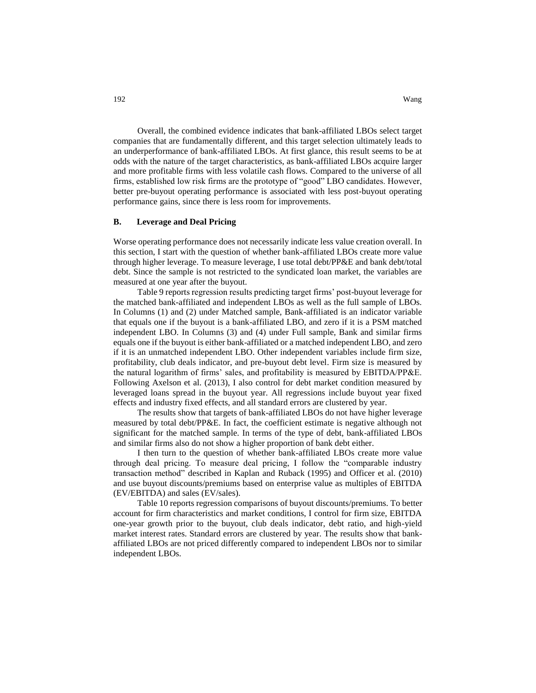Overall, the combined evidence indicates that bank-affiliated LBOs select target companies that are fundamentally different, and this target selection ultimately leads to an underperformance of bank-affiliated LBOs. At first glance, this result seems to be at odds with the nature of the target characteristics, as bank-affiliated LBOs acquire larger and more profitable firms with less volatile cash flows. Compared to the universe of all firms, established low risk firms are the prototype of "good" LBO candidates. However, better pre-buyout operating performance is associated with less post-buyout operating performance gains, since there is less room for improvements.

#### **B. Leverage and Deal Pricing**

Worse operating performance does not necessarily indicate less value creation overall. In this section, I start with the question of whether bank-affiliated LBOs create more value through higher leverage. To measure leverage, I use total debt/PP&E and bank debt/total debt. Since the sample is not restricted to the syndicated loan market, the variables are measured at one year after the buyout.

Table 9 reports regression results predicting target firms' post-buyout leverage for the matched bank-affiliated and independent LBOs as well as the full sample of LBOs. In Columns (1) and (2) under Matched sample, Bank-affiliated is an indicator variable that equals one if the buyout is a bank-affiliated LBO, and zero if it is a PSM matched independent LBO. In Columns (3) and (4) under Full sample, Bank and similar firms equals one if the buyout is either bank-affiliated or a matched independent LBO, and zero if it is an unmatched independent LBO. Other independent variables include firm size, profitability, club deals indicator, and pre-buyout debt level. Firm size is measured by the natural logarithm of firms' sales, and profitability is measured by EBITDA/PP&E. Following Axelson et al. (2013), I also control for debt market condition measured by leveraged loans spread in the buyout year. All regressions include buyout year fixed effects and industry fixed effects, and all standard errors are clustered by year.

The results show that targets of bank-affiliated LBOs do not have higher leverage measured by total debt/PP&E. In fact, the coefficient estimate is negative although not significant for the matched sample. In terms of the type of debt, bank-affiliated LBOs and similar firms also do not show a higher proportion of bank debt either.

I then turn to the question of whether bank-affiliated LBOs create more value through deal pricing. To measure deal pricing, I follow the "comparable industry transaction method" described in Kaplan and Ruback (1995) and Officer et al. (2010) and use buyout discounts/premiums based on enterprise value as multiples of EBITDA (EV/EBITDA) and sales (EV/sales).

Table 10 reports regression comparisons of buyout discounts/premiums. To better account for firm characteristics and market conditions, I control for firm size, EBITDA one-year growth prior to the buyout, club deals indicator, debt ratio, and high-yield market interest rates. Standard errors are clustered by year. The results show that bankaffiliated LBOs are not priced differently compared to independent LBOs nor to similar independent LBOs.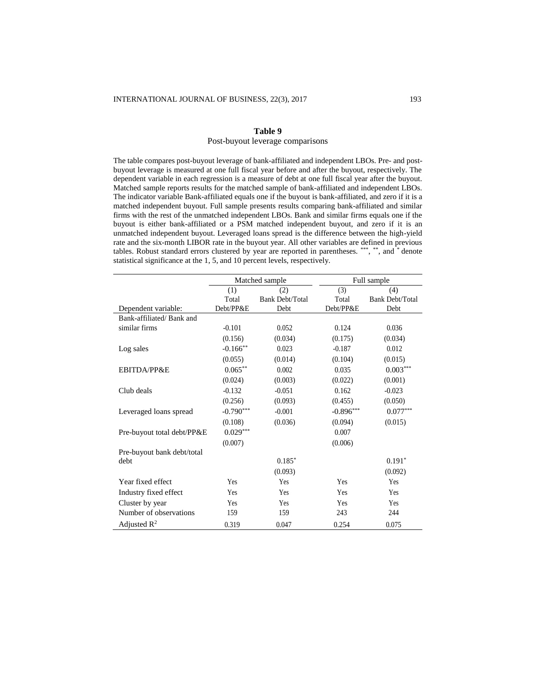# Post-buyout leverage comparisons

The table compares post-buyout leverage of bank-affiliated and independent LBOs. Pre- and postbuyout leverage is measured at one full fiscal year before and after the buyout, respectively. The dependent variable in each regression is a measure of debt at one full fiscal year after the buyout. Matched sample reports results for the matched sample of bank-affiliated and independent LBOs. The indicator variable Bank-affiliated equals one if the buyout is bank-affiliated, and zero if it is a matched independent buyout. Full sample presents results comparing bank-affiliated and similar firms with the rest of the unmatched independent LBOs. Bank and similar firms equals one if the buyout is either bank-affiliated or a PSM matched independent buyout, and zero if it is an unmatched independent buyout. Leveraged loans spread is the difference between the high-yield rate and the six-month LIBOR rate in the buyout year. All other variables are defined in previous tables. Robust standard errors clustered by year are reported in parentheses. \*\*\*, \*\*, and \* denote statistical significance at the 1, 5, and 10 percent levels, respectively.

|                            | Matched sample<br>Full sample |                        |             |                        |
|----------------------------|-------------------------------|------------------------|-------------|------------------------|
|                            | (1)                           | (2)                    | (3)         | (4)                    |
|                            | Total                         | <b>Bank Debt/Total</b> | Total       | <b>Bank Debt/Total</b> |
| Dependent variable:        | Debt/PP&E                     | Debt                   | Debt/PP&E   | Debt                   |
| Bank-affiliated/Bank and   |                               |                        |             |                        |
| similar firms              | $-0.101$                      | 0.052                  | 0.124       | 0.036                  |
|                            | (0.156)                       | (0.034)                | (0.175)     | (0.034)                |
| Log sales                  | $-0.166$ **                   | 0.023                  | $-0.187$    | 0.012                  |
|                            | (0.055)                       | (0.014)                | (0.104)     | (0.015)                |
| EBITDA/PP&E                | $0.065***$                    | 0.002                  | 0.035       | $0.003***$             |
|                            | (0.024)                       | (0.003)                | (0.022)     | (0.001)                |
| Club deals                 | $-0.132$                      | $-0.051$               | 0.162       | $-0.023$               |
|                            | (0.256)                       | (0.093)                | (0.455)     | (0.050)                |
| Leveraged loans spread     | $-0.790***$                   | $-0.001$               | $-0.896***$ | $0.077***$             |
|                            | (0.108)                       | (0.036)                | (0.094)     | (0.015)                |
| Pre-buyout total debt/PP&E | $0.029***$                    |                        | 0.007       |                        |
|                            | (0.007)                       |                        | (0.006)     |                        |
| Pre-buyout bank debt/total |                               |                        |             |                        |
| debt                       |                               | $0.185*$               |             | $0.191*$               |
|                            |                               | (0.093)                |             | (0.092)                |
| Year fixed effect          | Yes                           | Yes                    | Yes         | Yes                    |
| Industry fixed effect      | Yes                           | Yes                    | Yes         | Yes                    |
| Cluster by year            | Yes                           | Yes                    | Yes         | Yes                    |
| Number of observations     | 159                           | 159                    | 243         | 244                    |
| Adjusted $\mathbb{R}^2$    | 0.319                         | 0.047                  | 0.254       | 0.075                  |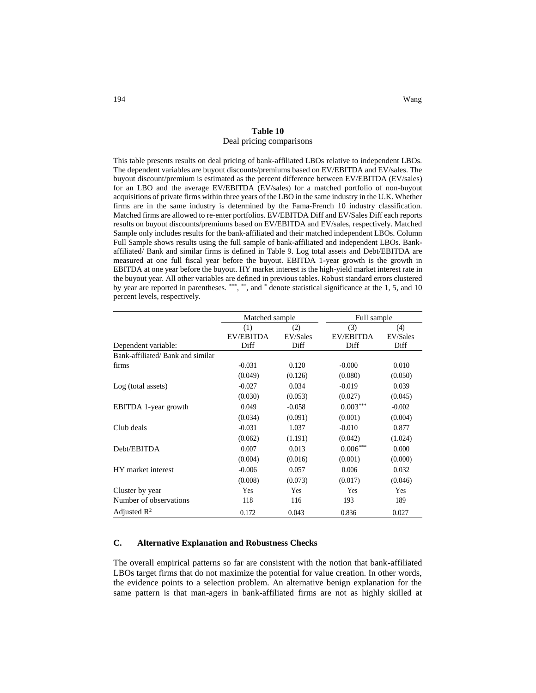#### **Table 10** Deal pricing comparisons

This table presents results on deal pricing of bank-affiliated LBOs relative to independent LBOs. The dependent variables are buyout discounts/premiums based on EV/EBITDA and EV/sales. The buyout discount/premium is estimated as the percent difference between EV/EBITDA (EV/sales) for an LBO and the average EV/EBITDA (EV/sales) for a matched portfolio of non-buyout acquisitions of private firms within three years of the LBO in the same industry in the U.K. Whether firms are in the same industry is determined by the Fama-French 10 industry classification. Matched firms are allowed to re-enter portfolios. EV/EBITDA Diff and EV/Sales Diff each reports results on buyout discounts/premiums based on EV/EBITDA and EV/sales, respectively. Matched Sample only includes results for the bank-affiliated and their matched independent LBOs. Column Full Sample shows results using the full sample of bank-affiliated and independent LBOs. Bankaffiliated/ Bank and similar firms is defined in Table 9. Log total assets and Debt/EBITDA are measured at one full fiscal year before the buyout. EBITDA 1-year growth is the growth in EBITDA at one year before the buyout. HY market interest is the high-yield market interest rate in the buyout year. All other variables are defined in previous tables. Robust standard errors clustered by year are reported in parentheses. \*\*\*,\*\*\*, and \* denote statistical significance at the 1, 5, and 10 percent levels, respectively.

|                                   | Matched sample   |          | Full sample      |          |
|-----------------------------------|------------------|----------|------------------|----------|
|                                   | (1)              | (2)      | (3)              | (4)      |
|                                   | <b>EV/EBITDA</b> | EV/Sales | <b>EV/EBITDA</b> | EV/Sales |
| Dependent variable:               | Diff             | Diff     | Diff             | Diff     |
| Bank-affiliated/ Bank and similar |                  |          |                  |          |
| firms                             | $-0.031$         | 0.120    | $-0.000$         | 0.010    |
|                                   | (0.049)          | (0.126)  | (0.080)          | (0.050)  |
| Log (total assets)                | $-0.027$         | 0.034    | $-0.019$         | 0.039    |
|                                   | (0.030)          | (0.053)  | (0.027)          | (0.045)  |
| EBITDA 1-year growth              | 0.049            | $-0.058$ | $0.003***$       | $-0.002$ |
|                                   | (0.034)          | (0.091)  | (0.001)          | (0.004)  |
| Club deals                        | $-0.031$         | 1.037    | $-0.010$         | 0.877    |
|                                   | (0.062)          | (1.191)  | (0.042)          | (1.024)  |
| Debt/EBITDA                       | 0.007            | 0.013    | $0.006^{***}$    | 0.000    |
|                                   | (0.004)          | (0.016)  | (0.001)          | (0.000)  |
| HY market interest                | $-0.006$         | 0.057    | 0.006            | 0.032    |
|                                   | (0.008)          | (0.073)  | (0.017)          | (0.046)  |
| Cluster by year                   | Yes              | Yes      | Yes              | Yes      |
| Number of observations            | 118              | 116      | 193              | 189      |
| Adjusted $\mathbb{R}^2$           | 0.172            | 0.043    | 0.836            | 0.027    |

#### **C. Alternative Explanation and Robustness Checks**

The overall empirical patterns so far are consistent with the notion that bank-affiliated LBOs target firms that do not maximize the potential for value creation. In other words, the evidence points to a selection problem. An alternative benign explanation for the same pattern is that man-agers in bank-affiliated firms are not as highly skilled at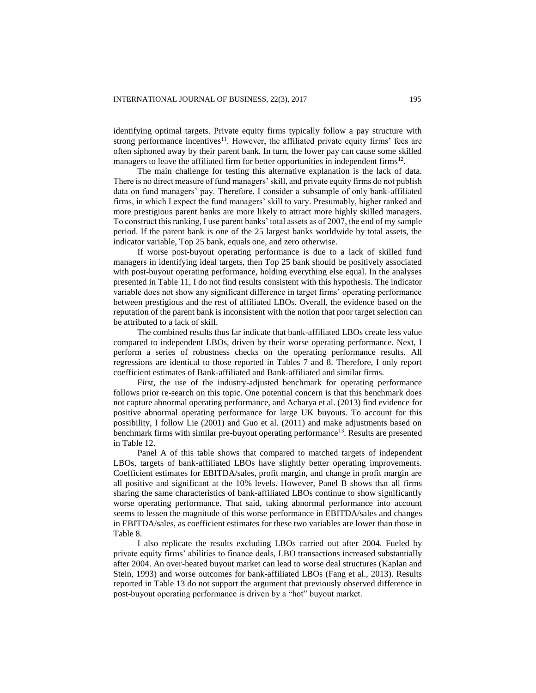identifying optimal targets. Private equity firms typically follow a pay structure with strong performance incentives<sup>11</sup>. However, the affiliated private equity firms' fees are often siphoned away by their parent bank. In turn, the lower pay can cause some skilled managers to leave the affiliated firm for better opportunities in independent firms<sup>12</sup>.

The main challenge for testing this alternative explanation is the lack of data. There is no direct measure of fund managers' skill, and private equity firms do not publish data on fund managers' pay. Therefore, I consider a subsample of only bank-affiliated firms, in which I expect the fund managers' skill to vary. Presumably, higher ranked and more prestigious parent banks are more likely to attract more highly skilled managers. To construct this ranking, I use parent banks' total assets as of 2007, the end of my sample period. If the parent bank is one of the 25 largest banks worldwide by total assets, the indicator variable, Top 25 bank, equals one, and zero otherwise.

If worse post-buyout operating performance is due to a lack of skilled fund managers in identifying ideal targets, then Top 25 bank should be positively associated with post-buyout operating performance, holding everything else equal. In the analyses presented in Table 11, I do not find results consistent with this hypothesis. The indicator variable does not show any significant difference in target firms' operating performance between prestigious and the rest of affiliated LBOs. Overall, the evidence based on the reputation of the parent bank is inconsistent with the notion that poor target selection can be attributed to a lack of skill.

The combined results thus far indicate that bank-affiliated LBOs create less value compared to independent LBOs, driven by their worse operating performance. Next, I perform a series of robustness checks on the operating performance results. All regressions are identical to those reported in Tables 7 and 8. Therefore, I only report coefficient estimates of Bank-affiliated and Bank-affiliated and similar firms.

First, the use of the industry-adjusted benchmark for operating performance follows prior re-search on this topic. One potential concern is that this benchmark does not capture abnormal operating performance, and Acharya et al. (2013) find evidence for positive abnormal operating performance for large UK buyouts. To account for this possibility, I follow Lie (2001) and Guo et al. (2011) and make adjustments based on benchmark firms with similar pre-buyout operating performance<sup>13</sup>. Results are presented in Table 12.

Panel A of this table shows that compared to matched targets of independent LBOs, targets of bank-affiliated LBOs have slightly better operating improvements. Coefficient estimates for EBITDA/sales, profit margin, and change in profit margin are all positive and significant at the 10% levels. However, Panel B shows that all firms sharing the same characteristics of bank-affiliated LBOs continue to show significantly worse operating performance. That said, taking abnormal performance into account seems to lessen the magnitude of this worse performance in EBITDA/sales and changes in EBITDA/sales, as coefficient estimates for these two variables are lower than those in Table 8.

I also replicate the results excluding LBOs carried out after 2004. Fueled by private equity firms' abilities to finance deals, LBO transactions increased substantially after 2004. An over-heated buyout market can lead to worse deal structures (Kaplan and Stein, 1993) and worse outcomes for bank-affiliated LBOs (Fang et al., 2013). Results reported in Table 13 do not support the argument that previously observed difference in post-buyout operating performance is driven by a "hot" buyout market.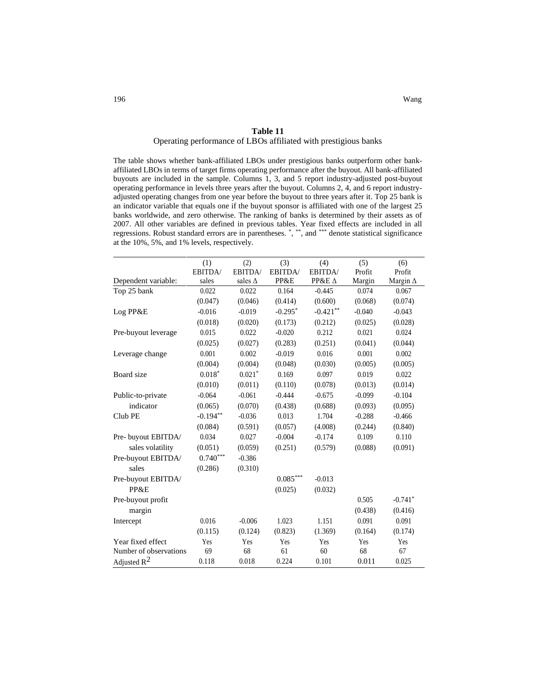### Operating performance of LBOs affiliated with prestigious banks

The table shows whether bank-affiliated LBOs under prestigious banks outperform other bankaffiliated LBOs in terms of target firms operating performance after the buyout. All bank-affiliated buyouts are included in the sample. Columns 1, 3, and 5 report industry-adjusted post-buyout operating performance in levels three years after the buyout. Columns 2, 4, and 6 report industryadjusted operating changes from one year before the buyout to three years after it. Top 25 bank is an indicator variable that equals one if the buyout sponsor is affiliated with one of the largest 25 banks worldwide, and zero otherwise. The ranking of banks is determined by their assets as of 2007. All other variables are defined in previous tables. Year fixed effects are included in all regressions. Robust standard errors are in parentheses. \*, \*\*, and \*\*\* denote statistical significance at the 10%, 5%, and 1% levels, respectively.

|                        | (1)        | (2)            | (3)           | (4)           | (5)      | (6)             |
|------------------------|------------|----------------|---------------|---------------|----------|-----------------|
|                        | EBITDA/    | EBITDA/        | <b>EBITDA</b> | EBITDA/       | Profit   | Profit          |
| Dependent variable:    | sales      | sales $\Delta$ | PP&E          | PP&E $\Delta$ | Margin   | Margin $\Delta$ |
| Top 25 bank            | 0.022      | 0.022          | 0.164         | $-0.445$      | 0.074    | 0.067           |
|                        | (0.047)    | (0.046)        | (0.414)       | (0.600)       | (0.068)  | (0.074)         |
| Log PP&E               | $-0.016$   | $-0.019$       | $-0.295*$     | $-0.421**$    | $-0.040$ | $-0.043$        |
|                        | (0.018)    | (0.020)        | (0.173)       | (0.212)       | (0.025)  | (0.028)         |
| Pre-buyout leverage    | 0.015      | 0.022          | $-0.020$      | 0.212         | 0.021    | 0.024           |
|                        | (0.025)    | (0.027)        | (0.283)       | (0.251)       | (0.041)  | (0.044)         |
| Leverage change        | 0.001      | 0.002          | $-0.019$      | 0.016         | 0.001    | 0.002           |
|                        | (0.004)    | (0.004)        | (0.048)       | (0.030)       | (0.005)  | (0.005)         |
| Board size             | $0.018*$   | $0.021*$       | 0.169         | 0.097         | 0.019    | 0.022           |
|                        | (0.010)    | (0.011)        | (0.110)       | (0.078)       | (0.013)  | (0.014)         |
| Public-to-private      | $-0.064$   | $-0.061$       | $-0.444$      | $-0.675$      | $-0.099$ | $-0.104$        |
| indicator              | (0.065)    | (0.070)        | (0.438)       | (0.688)       | (0.093)  | (0.095)         |
| Club PE                | $-0.194**$ | $-0.036$       | 0.013         | 1.704         | $-0.288$ | $-0.466$        |
|                        | (0.084)    | (0.591)        | (0.057)       | (4.008)       | (0.244)  | (0.840)         |
| Pre-buyout EBITDA/     | 0.034      | 0.027          | $-0.004$      | $-0.174$      | 0.109    | 0.110           |
| sales volatility       | (0.051)    | (0.059)        | (0.251)       | (0.579)       | (0.088)  | (0.091)         |
| Pre-buyout EBITDA/     | $0.740***$ | $-0.386$       |               |               |          |                 |
| sales                  | (0.286)    | (0.310)        |               |               |          |                 |
| Pre-buyout EBITDA/     |            |                | $0.085***$    | $-0.013$      |          |                 |
| PP&E                   |            |                | (0.025)       | (0.032)       |          |                 |
| Pre-buyout profit      |            |                |               |               | 0.505    | $-0.741*$       |
| margin                 |            |                |               |               | (0.438)  | (0.416)         |
| Intercept              | 0.016      | $-0.006$       | 1.023         | 1.151         | 0.091    | 0.091           |
|                        | (0.115)    | (0.124)        | (0.823)       | (1.369)       | (0.164)  | (0.174)         |
| Year fixed effect      | Yes        | Yes            | Yes           | Yes           | Yes      | Yes             |
| Number of observations | 69         | 68             | 61            | 60            | 68       | 67              |
| Adjusted $R^2$         | 0.118      | 0.018          | 0.224         | 0.101         | 0.011    | 0.025           |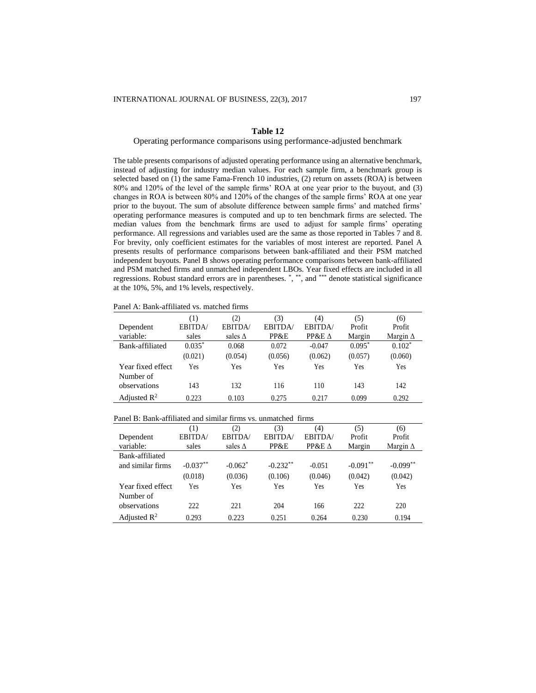#### Operating performance comparisons using performance-adjusted benchmark

The table presents comparisons of adjusted operating performance using an alternative benchmark, instead of adjusting for industry median values. For each sample firm, a benchmark group is selected based on (1) the same Fama-French 10 industries, (2) return on assets (ROA) is between 80% and 120% of the level of the sample firms' ROA at one year prior to the buyout, and (3) changes in ROA is between 80% and 120% of the changes of the sample firms' ROA at one year prior to the buyout. The sum of absolute difference between sample firms' and matched firms' operating performance measures is computed and up to ten benchmark firms are selected. The median values from the benchmark firms are used to adjust for sample firms' operating performance. All regressions and variables used are the same as those reported in Tables 7 and 8. For brevity, only coefficient estimates for the variables of most interest are reported. Panel A presents results of performance comparisons between bank-affiliated and their PSM matched independent buyouts. Panel B shows operating performance comparisons between bank-affiliated and PSM matched firms and unmatched independent LBOs. Year fixed effects are included in all regressions. Robust standard errors are in parentheses. \*, \*\*, and \*\*\* denote statistical significance at the 10%, 5%, and 1% levels, respectively.

#### Panel A: Bank-affiliated vs. matched firms

|                         | (1)      | (2)            | (3)     | (4)                         | (5)      | (6)             |
|-------------------------|----------|----------------|---------|-----------------------------|----------|-----------------|
| Dependent               | EBITDA/  | <b>EBITDA</b>  | EBITDA/ | EBITDA/                     | Profit   | Profit          |
| variable:               | sales    | sales $\Delta$ | PP&E    | <b>PP&amp;E</b> $\triangle$ | Margin   | Margin $\Delta$ |
| Bank-affiliated         | $0.035*$ | 0.068          | 0.072   | $-0.047$                    | $0.095*$ | $0.102*$        |
|                         | (0.021)  | (0.054)        | (0.056) | (0.062)                     | (0.057)  | (0.060)         |
| Year fixed effect       | Yes      | Yes            | Yes     | Yes                         | Yes      | Yes             |
| Number of               |          |                |         |                             |          |                 |
| observations            | 143      | 132            | 116     | 110                         | 143      | 142             |
| Adjusted $\mathbb{R}^2$ | 0.223    | 0.103          | 0.275   | 0.217                       | 0.099    | 0.292           |

#### Panel B: Bank-affiliated and similar firms vs. unmatched firms

|                         | (1)        | (2)            | (3)           | (4)                      | (5)        | (6)             |
|-------------------------|------------|----------------|---------------|--------------------------|------------|-----------------|
| Dependent               | EBITDA/    | <b>EBITDA</b>  | <b>EBITDA</b> | <b>EBITDA</b>            | Profit     | Profit          |
| variable:               | sales      | sales $\Delta$ | PP&E          | <b>PP&amp;E</b> $\Delta$ | Margin     | Margin $\Delta$ |
| Bank-affiliated         |            |                |               |                          |            |                 |
| and similar firms       | $-0.037**$ | $-0.062*$      | $-0.232**$    | $-0.051$                 | $-0.091**$ | $-0.099**$      |
|                         | (0.018)    | (0.036)        | (0.106)       | (0.046)                  | (0.042)    | (0.042)         |
| Year fixed effect       | Yes        | Yes            | Yes           | Yes                      | Yes        | Yes             |
| Number of               |            |                |               |                          |            |                 |
| observations            | 222        | 221            | 204           | 166                      | 222        | 220             |
| Adjusted $\mathbb{R}^2$ | 0.293      | 0.223          | 0.251         | 0.264                    | 0.230      | 0.194           |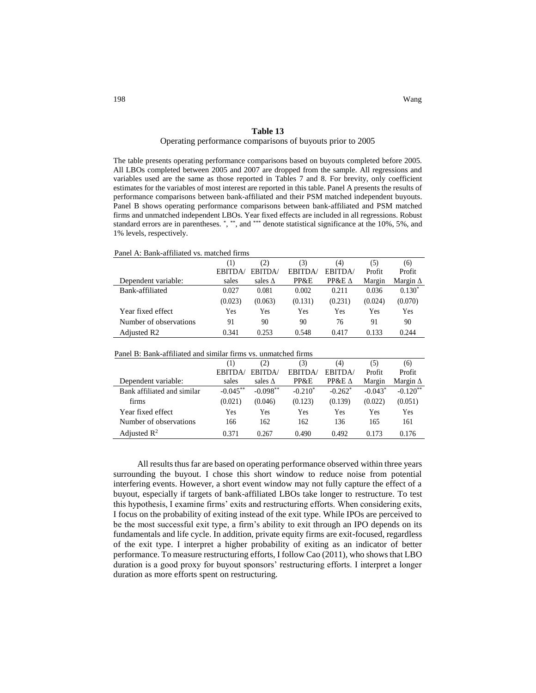# Operating performance comparisons of buyouts prior to 2005

The table presents operating performance comparisons based on buyouts completed before 2005. All LBOs completed between 2005 and 2007 are dropped from the sample. All regressions and variables used are the same as those reported in Tables 7 and 8. For brevity, only coefficient estimates for the variables of most interest are reported in this table. Panel A presents the results of performance comparisons between bank-affiliated and their PSM matched independent buyouts. Panel B shows operating performance comparisons between bank-affiliated and PSM matched firms and unmatched independent LBOs. Year fixed effects are included in all regressions. Robust standard errors are in parentheses. \*, \*\*, and \*\*\* denote statistical significance at the 10%, 5%, and 1% levels, respectively.

| Panel A: Bank-affiliated vs. matched firms |               |                |         |                             |         |                 |
|--------------------------------------------|---------------|----------------|---------|-----------------------------|---------|-----------------|
|                                            | (1)           | (2)            | (3)     | (4)                         | (5)     | (6)             |
|                                            | <b>EBITDA</b> | EBITDA/        | EBITDA/ | EBITDA/                     | Profit  | Profit          |
| Dependent variable:                        | sales         | sales $\Delta$ | PP&E    | <b>PP&amp;E</b> $\triangle$ | Margin  | Margin $\Delta$ |
| Bank-affiliated                            | 0.027         | 0.081          | 0.002   | 0.211                       | 0.036   | $0.130*$        |
|                                            | (0.023)       | (0.063)        | (0.131) | (0.231)                     | (0.024) | (0.070)         |
| Year fixed effect                          | Yes           | Yes            | Yes     | Yes                         | Yes     | Yes             |
| Number of observations                     | 91            | 90             | 90      | 76                          | 91      | 90              |
| Adjusted R <sub>2</sub>                    | 0.341         | 0.253          | 0.548   | 0.417                       | 0.133   | 0.244           |

|                                                                |         |                 |         | . <i>.</i>    | . <i>.</i> |                 |
|----------------------------------------------------------------|---------|-----------------|---------|---------------|------------|-----------------|
| Year fixed effect                                              | Yes     | Yes             | Yes     | Yes           | Yes        | Yes             |
| Number of observations                                         | 91      | 90              | 90      | 76            | 91         | 90              |
| Adjusted R <sub>2</sub>                                        | 0.341   | 0.253           | 0.548   | 0.417         | 0.133      | 0.244           |
| Panel B: Bank-affiliated and similar firms vs. unmatched firms |         |                 |         |               |            |                 |
|                                                                |         |                 | 3)      | (4)           | (5)        | (6)             |
|                                                                | EBITDA/ | EBITDA/         | EBITDA/ | EBITDA/       | Profit     | Profit          |
| Dependent variable:                                            | sales   | sales $\Lambda$ | PP&E    | $PP&E \wedge$ | Margin     | Margin $\Delta$ |

 $-0.098**$ 

firms (0.021) (0.046) (0.123) (0.139) (0.022) (0.051) Year fixed effect Yes Yes Yes Yes Yes Yes Number of observations 166 162 162 136 165 161

 $-0.210*$ 

0.371 0.267 0.490 0.492 0.173 0.176

 $-0.262$ <sup>\*</sup>

 $-0.043$ 

 $-0.120**$ 

| <b>FRITDA</b> / | EBITDA/ | ERITDA/ | EBITDA |
|-----------------|---------|---------|--------|

Bank affiliated and similar -0.045<sup>\*</sup>

Adjusted R<sup>2</sup>

| All results thus far are based on operating performance observed within three years         |
|---------------------------------------------------------------------------------------------|
| surrounding the buyout. I chose this short window to reduce noise from potential            |
| interfering events. However, a short event window may not fully capture the effect of a     |
| buyout, especially if targets of bank-affiliated LBOs take longer to restructure. To test   |
| this hypothesis, I examine firms' exits and restructuring efforts. When considering exits,  |
| I focus on the probability of exiting instead of the exit type. While IPOs are perceived to |
| be the most successful exit type, a firm's ability to exit through an IPO depends on its    |
| fundamentals and life cycle. In addition, private equity firms are exit-focused, regardless |
| of the exit type. I interpret a higher probability of exiting as an indicator of better     |
| performance. To measure restructuring efforts, I follow Cao (2011), who shows that LBO      |
| duration is a good proxy for buyout sponsors' restructuring efforts. I interpret a longer   |
| duration as more efforts spent on restructuring.                                            |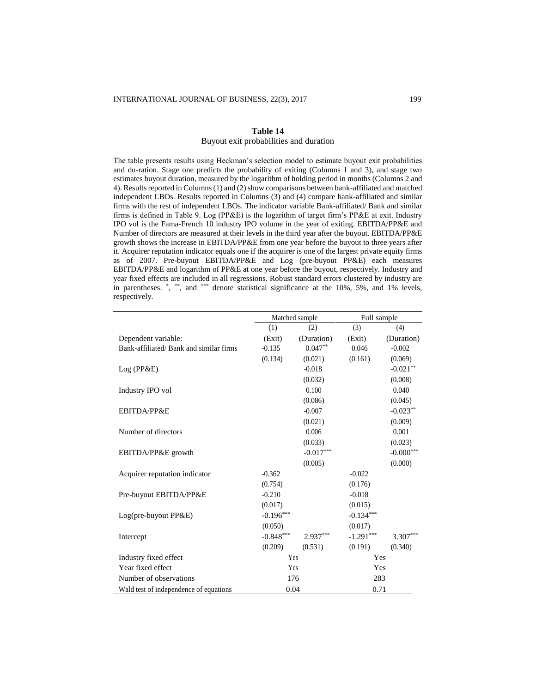# Buyout exit probabilities and duration

The table presents results using Heckman's selection model to estimate buyout exit probabilities and du-ration. Stage one predicts the probability of exiting (Columns 1 and 3), and stage two estimates buyout duration, measured by the logarithm of holding period in months (Columns 2 and 4). Results reported in Columns (1) and (2) show comparisons between bank-affiliated and matched independent LBOs. Results reported in Columns (3) and (4) compare bank-affiliated and similar firms with the rest of independent LBOs. The indicator variable Bank-affiliated/ Bank and similar firms is defined in Table 9. Log (PP&E) is the logarithm of target firm's PP&E at exit. Industry IPO vol is the Fama-French 10 industry IPO volume in the year of exiting. EBITDA/PP&E and Number of directors are measured at their levels in the third year after the buyout. EBITDA/PP&E growth shows the increase in EBITDA/PP&E from one year before the buyout to three years after it. Acquirer reputation indicator equals one if the acquirer is one of the largest private equity firms as of 2007. Pre-buyout EBITDA/PP&E and Log (pre-buyout PP&E) each measures EBITDA/PP&E and logarithm of PP&E at one year before the buyout, respectively. Industry and year fixed effects are included in all regressions. Robust standard errors clustered by industry are in parentheses. \*, \*\*, and \*\*\* denote statistical significance at the 10%, 5%, and 1% levels, respectively.

|                                        | Matched sample |             | Full sample |             |  |
|----------------------------------------|----------------|-------------|-------------|-------------|--|
|                                        | (1)            | (2)         | (3)         | (4)         |  |
| Dependent variable:                    | (Exit)         | (Duration)  | (Exit)      | (Duration)  |  |
| Bank-affiliated/Bank and similar firms | $-0.135$       | $0.047**$   | 0.046       | $-0.002$    |  |
|                                        | (0.134)        | (0.021)     | (0.161)     | (0.069)     |  |
| Log(PP&E)                              |                | $-0.018$    |             | $-0.021**$  |  |
|                                        |                | (0.032)     |             | (0.008)     |  |
| Industry IPO vol                       |                | 0.100       |             | 0.040       |  |
|                                        |                | (0.086)     |             | (0.045)     |  |
| EBITDA/PP&E                            |                | $-0.007$    |             | $-0.023**$  |  |
|                                        |                | (0.021)     |             | (0.009)     |  |
| Number of directors                    |                | 0.006       |             | 0.001       |  |
|                                        |                | (0.033)     |             | (0.023)     |  |
| EBITDA/PP&E growth                     |                | $-0.017***$ |             | $-0.000***$ |  |
|                                        |                | (0.005)     |             | (0.000)     |  |
| Acquirer reputation indicator          | $-0.362$       |             | $-0.022$    |             |  |
|                                        | (0.754)        |             | (0.176)     |             |  |
| Pre-buyout EBITDA/PP&E                 | $-0.210$       |             | $-0.018$    |             |  |
|                                        | (0.017)        |             | (0.015)     |             |  |
| $Log(pre-buyout PP&E)$                 | $-0.196***$    |             | $-0.134***$ |             |  |
|                                        | (0.050)        |             | (0.017)     |             |  |
| Intercept                              | $-0.848***$    | $2.937***$  | $-1.291***$ | 3.307***    |  |
|                                        | (0.209)        | (0.531)     | (0.191)     | (0.340)     |  |
| Industry fixed effect                  | Yes            |             | Yes         |             |  |
| Year fixed effect                      | Yes            |             | Yes         |             |  |
| Number of observations                 | 176            |             |             | 283         |  |
| Wald test of independence of equations | 0.04           |             | 0.71        |             |  |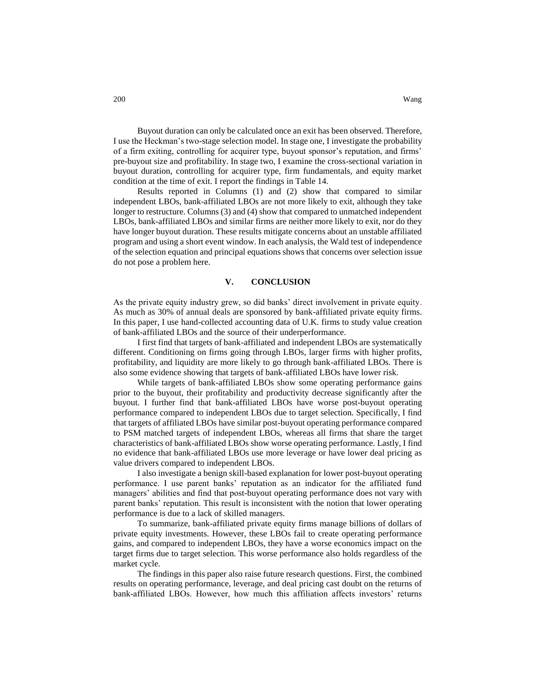Buyout duration can only be calculated once an exit has been observed. Therefore, I use the Heckman's two-stage selection model. In stage one, I investigate the probability of a firm exiting, controlling for acquirer type, buyout sponsor's reputation, and firms' pre-buyout size and profitability. In stage two, I examine the cross-sectional variation in buyout duration, controlling for acquirer type, firm fundamentals, and equity market condition at the time of exit. I report the findings in Table 14.

Results reported in Columns (1) and (2) show that compared to similar independent LBOs, bank-affiliated LBOs are not more likely to exit, although they take longer to restructure. Columns (3) and (4) show that compared to unmatched independent LBOs, bank-affiliated LBOs and similar firms are neither more likely to exit, nor do they have longer buyout duration. These results mitigate concerns about an unstable affiliated program and using a short event window. In each analysis, the Wald test of independence of the selection equation and principal equations shows that concerns over selection issue do not pose a problem here.

#### **V. CONCLUSION**

As the private equity industry grew, so did banks' direct involvement in private equity. As much as 30% of annual deals are sponsored by bank-affiliated private equity firms. In this paper, I use hand-collected accounting data of U.K. firms to study value creation of bank-affiliated LBOs and the source of their underperformance.

I first find that targets of bank-affiliated and independent LBOs are systematically different. Conditioning on firms going through LBOs, larger firms with higher profits, profitability, and liquidity are more likely to go through bank-affiliated LBOs. There is also some evidence showing that targets of bank-affiliated LBOs have lower risk.

While targets of bank-affiliated LBOs show some operating performance gains prior to the buyout, their profitability and productivity decrease significantly after the buyout. I further find that bank-affiliated LBOs have worse post-buyout operating performance compared to independent LBOs due to target selection. Specifically, I find that targets of affiliated LBOs have similar post-buyout operating performance compared to PSM matched targets of independent LBOs, whereas all firms that share the target characteristics of bank-affiliated LBOs show worse operating performance. Lastly, I find no evidence that bank-affiliated LBOs use more leverage or have lower deal pricing as value drivers compared to independent LBOs.

I also investigate a benign skill-based explanation for lower post-buyout operating performance. I use parent banks' reputation as an indicator for the affiliated fund managers' abilities and find that post-buyout operating performance does not vary with parent banks' reputation. This result is inconsistent with the notion that lower operating performance is due to a lack of skilled managers.

To summarize, bank-affiliated private equity firms manage billions of dollars of private equity investments. However, these LBOs fail to create operating performance gains, and compared to independent LBOs, they have a worse economics impact on the target firms due to target selection. This worse performance also holds regardless of the market cycle.

The findings in this paper also raise future research questions. First, the combined results on operating performance, leverage, and deal pricing cast doubt on the returns of bank-affiliated LBOs. However, how much this affiliation affects investors' returns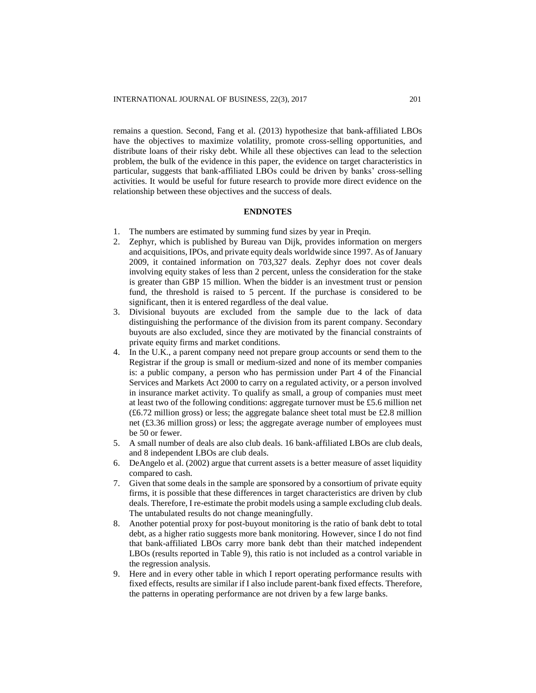remains a question. Second, Fang et al. (2013) hypothesize that bank-affiliated LBOs have the objectives to maximize volatility, promote cross-selling opportunities, and distribute loans of their risky debt. While all these objectives can lead to the selection problem, the bulk of the evidence in this paper, the evidence on target characteristics in particular, suggests that bank-affiliated LBOs could be driven by banks' cross-selling activities. It would be useful for future research to provide more direct evidence on the relationship between these objectives and the success of deals.

## **ENDNOTES**

- 1. The numbers are estimated by summing fund sizes by year in Preqin.
- 2. Zephyr, which is published by Bureau van Dijk, provides information on mergers and acquisitions, IPOs, and private equity deals worldwide since 1997. As of January 2009, it contained information on 703,327 deals. Zephyr does not cover deals involving equity stakes of less than 2 percent, unless the consideration for the stake is greater than GBP 15 million. When the bidder is an investment trust or pension fund, the threshold is raised to 5 percent. If the purchase is considered to be significant, then it is entered regardless of the deal value.
- 3. Divisional buyouts are excluded from the sample due to the lack of data distinguishing the performance of the division from its parent company. Secondary buyouts are also excluded, since they are motivated by the financial constraints of private equity firms and market conditions.
- 4. In the U.K., a parent company need not prepare group accounts or send them to the Registrar if the group is small or medium-sized and none of its member companies is: a public company, a person who has permission under Part 4 of the Financial Services and Markets Act 2000 to carry on a regulated activity, or a person involved in insurance market activity. To qualify as small, a group of companies must meet at least two of the following conditions: aggregate turnover must be £5.6 million net  $(£6.72$  million gross) or less; the aggregate balance sheet total must be £2.8 million net (£3.36 million gross) or less; the aggregate average number of employees must be 50 or fewer.
- 5. A small number of deals are also club deals. 16 bank-affiliated LBOs are club deals, and 8 independent LBOs are club deals.
- 6. DeAngelo et al. (2002) argue that current assets is a better measure of asset liquidity compared to cash.
- 7. Given that some deals in the sample are sponsored by a consortium of private equity firms, it is possible that these differences in target characteristics are driven by club deals. Therefore, I re-estimate the probit models using a sample excluding club deals. The untabulated results do not change meaningfully.
- 8. Another potential proxy for post-buyout monitoring is the ratio of bank debt to total debt, as a higher ratio suggests more bank monitoring. However, since I do not find that bank-affiliated LBOs carry more bank debt than their matched independent LBOs (results reported in Table 9), this ratio is not included as a control variable in the regression analysis.
- 9. Here and in every other table in which I report operating performance results with fixed effects, results are similar if I also include parent-bank fixed effects. Therefore, the patterns in operating performance are not driven by a few large banks.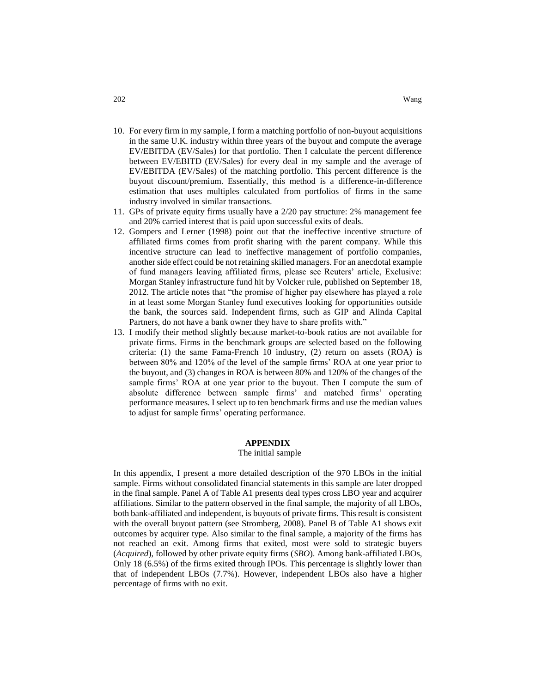- 10. For every firm in my sample, I form a matching portfolio of non-buyout acquisitions in the same U.K. industry within three years of the buyout and compute the average EV/EBITDA (EV/Sales) for that portfolio. Then I calculate the percent difference between EV/EBITD (EV/Sales) for every deal in my sample and the average of EV/EBITDA (EV/Sales) of the matching portfolio. This percent difference is the buyout discount/premium. Essentially, this method is a difference-in-difference estimation that uses multiples calculated from portfolios of firms in the same industry involved in similar transactions.
- 11. GPs of private equity firms usually have a 2/20 pay structure: 2% management fee and 20% carried interest that is paid upon successful exits of deals.
- 12. Gompers and Lerner (1998) point out that the ineffective incentive structure of affiliated firms comes from profit sharing with the parent company. While this incentive structure can lead to ineffective management of portfolio companies, another side effect could be not retaining skilled managers. For an anecdotal example of fund managers leaving affiliated firms, please see Reuters' article, Exclusive: Morgan Stanley infrastructure fund hit by Volcker rule, published on September 18, 2012. The article notes that "the promise of higher pay elsewhere has played a role in at least some Morgan Stanley fund executives looking for opportunities outside the bank, the sources said. Independent firms, such as GIP and Alinda Capital Partners, do not have a bank owner they have to share profits with."
- 13. I modify their method slightly because market-to-book ratios are not available for private firms. Firms in the benchmark groups are selected based on the following criteria: (1) the same Fama-French 10 industry, (2) return on assets (ROA) is between 80% and 120% of the level of the sample firms' ROA at one year prior to the buyout, and (3) changes in ROA is between 80% and 120% of the changes of the sample firms' ROA at one year prior to the buyout. Then I compute the sum of absolute difference between sample firms' and matched firms' operating performance measures. I select up to ten benchmark firms and use the median values to adjust for sample firms' operating performance.

### **APPENDIX**

#### The initial sample

In this appendix, I present a more detailed description of the 970 LBOs in the initial sample. Firms without consolidated financial statements in this sample are later dropped in the final sample. Panel A of Table A1 presents deal types cross LBO year and acquirer affiliations. Similar to the pattern observed in the final sample, the majority of all LBOs, both bank-affiliated and independent, is buyouts of private firms. This result is consistent with the overall buyout pattern (see Stromberg, 2008). Panel B of Table A1 shows exit outcomes by acquirer type. Also similar to the final sample, a majority of the firms has not reached an exit. Among firms that exited, most were sold to strategic buyers (*Acquired*), followed by other private equity firms (*SBO*). Among bank-affiliated LBOs, Only 18 (6.5%) of the firms exited through IPOs. This percentage is slightly lower than that of independent LBOs (7.7%). However, independent LBOs also have a higher percentage of firms with no exit.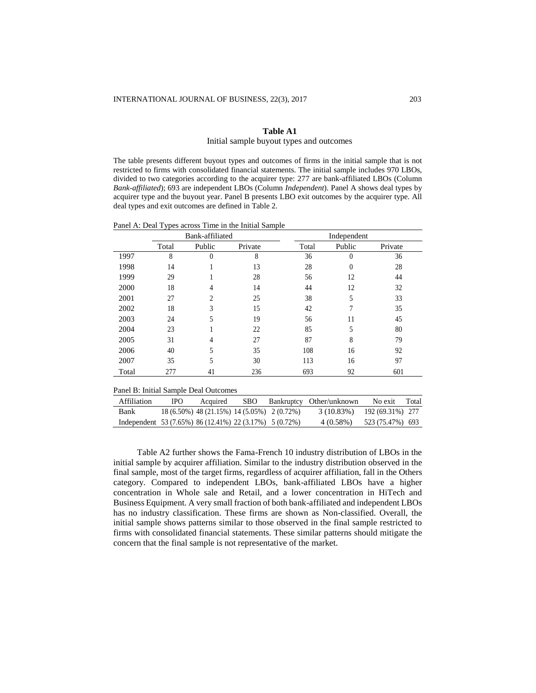# **Table A1**

# Initial sample buyout types and outcomes

The table presents different buyout types and outcomes of firms in the initial sample that is not restricted to firms with consolidated financial statements. The initial sample includes 970 LBOs, divided to two categories according to the acquirer type: 277 are bank-affiliated LBOs (Column *Bank-affiliated*); 693 are independent LBOs (Column *Independent*). Panel A shows deal types by acquirer type and the buyout year. Panel B presents LBO exit outcomes by the acquirer type. All deal types and exit outcomes are defined in Table 2.

Panel A: Deal Types across Time in the Initial Sample

|       |       | Bank-affiliated |         |       | Independent |         |
|-------|-------|-----------------|---------|-------|-------------|---------|
|       | Total | Public          | Private | Total | Public      | Private |
| 1997  | 8     | 0               | 8       | 36    | $\theta$    | 36      |
| 1998  | 14    |                 | 13      | 28    | $\theta$    | 28      |
| 1999  | 29    |                 | 28      | 56    | 12          | 44      |
| 2000  | 18    | 4               | 14      | 44    | 12          | 32      |
| 2001  | 27    | 2               | 25      | 38    | 5           | 33      |
| 2002  | 18    | 3               | 15      | 42    |             | 35      |
| 2003  | 24    | 5               | 19      | 56    | 11          | 45      |
| 2004  | 23    |                 | 22      | 85    | 5           | 80      |
| 2005  | 31    | 4               | 27      | 87    | 8           | 79      |
| 2006  | 40    |                 | 35      | 108   | 16          | 92      |
| 2007  | 35    | 5               | 30      | 113   | 16          | 97      |
| Total | 277   | 41              | 236     | 693   | 92          | 601     |

| Affiliation                                             | IPO. | Acquired                                      | <b>SBO</b> | Bankruptcy Other/unknown | No exit.         | Total |
|---------------------------------------------------------|------|-----------------------------------------------|------------|--------------------------|------------------|-------|
| Bank                                                    |      | $18(6.50\%) 48(21.15\%) 14(5.05\%) 2(0.72\%)$ |            | 3 (10.83%)               | 192 (69.31%) 277 |       |
| Independent 53 (7.65%) 86 (12.41%) 22 (3.17%) 5 (0.72%) |      |                                               |            | $4(0.58\%)$              | 523 (75.47%) 693 |       |

Table A2 further shows the Fama-French 10 industry distribution of LBOs in the initial sample by acquirer affiliation. Similar to the industry distribution observed in the final sample, most of the target firms, regardless of acquirer affiliation, fall in the Others category. Compared to independent LBOs, bank-affiliated LBOs have a higher concentration in Whole sale and Retail, and a lower concentration in HiTech and Business Equipment. A very small fraction of both bank-affiliated and independent LBOs has no industry classification. These firms are shown as Non-classified. Overall, the initial sample shows patterns similar to those observed in the final sample restricted to firms with consolidated financial statements. These similar patterns should mitigate the concern that the final sample is not representative of the market.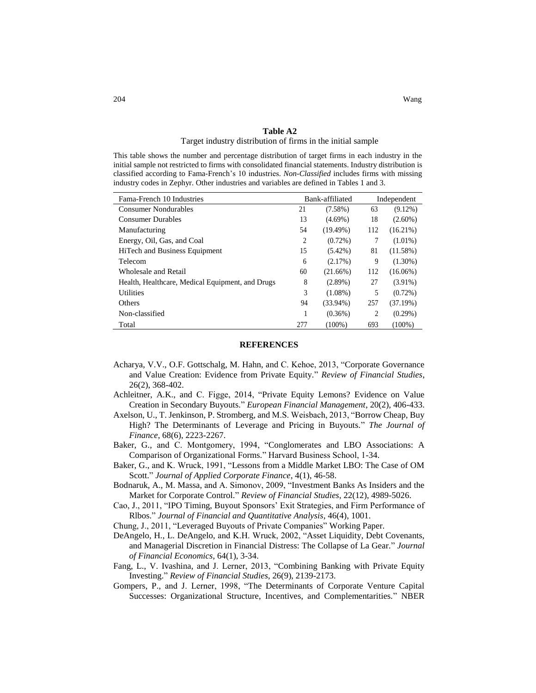#### **Table A2** Target industry distribution of firms in the initial sample

This table shows the number and percentage distribution of target firms in each industry in the initial sample not restricted to firms with consolidated financial statements. Industry distribution is classified according to Fama-French's 10 industries. *Non-Classified* includes firms with missing industry codes in Zephyr. Other industries and variables are defined in Tables 1 and 3.

| Fama-French 10 Industries                        |     | Bank-affiliated |     | Independent |  |
|--------------------------------------------------|-----|-----------------|-----|-------------|--|
| Consumer Nondurables                             | 21  | $(7.58\%)$      | 63  | $(9.12\%)$  |  |
| <b>Consumer Durables</b>                         | 13  | $(4.69\%)$      | 18  | $(2.60\%)$  |  |
| Manufacturing                                    | 54  | (19.49%)        | 112 | $(16.21\%)$ |  |
| Energy, Oil, Gas, and Coal                       | 2   | $(0.72\%)$      | 7   | $(1.01\%)$  |  |
| HiTech and Business Equipment                    | 15  | $(5.42\%)$      | 81  | $(11.58\%)$ |  |
| Telecom                                          | 6   | (2.17%)         | 9   | $(1.30\%)$  |  |
| Wholesale and Retail                             | 60  | (21.66%)        | 112 | $(16.06\%)$ |  |
| Health, Healthcare, Medical Equipment, and Drugs | 8   | $(2.89\%)$      | 27  | $(3.91\%)$  |  |
| <b>Utilities</b>                                 | 3   | $(1.08\%)$      | 5   | $(0.72\%)$  |  |
| Others                                           | 94  | $(33.94\%)$     | 257 | (37.19%)    |  |
| Non-classified                                   | 1   | $(0.36\%)$      | 2   | $(0.29\%)$  |  |
| Total                                            | 277 | $(100\%)$       | 693 | $(100\%)$   |  |

#### **REFERENCES**

- Acharya, V.V., O.F. Gottschalg, M. Hahn, and C. Kehoe, 2013, "Corporate Governance and Value Creation: Evidence from Private Equity." *Review of Financial Studies*, 26(2), 368-402.
- Achleitner, A.K., and C. Figge, 2014, "Private Equity Lemons? Evidence on Value Creation in Secondary Buyouts." *European Financial Management*, 20(2), 406-433.
- Axelson, U., T. Jenkinson, P. Stromberg, and M.S. Weisbach, 2013, "Borrow Cheap, Buy High? The Determinants of Leverage and Pricing in Buyouts." *The Journal of Finance*, 68(6), 2223-2267.
- Baker, G., and C. Montgomery, 1994, "Conglomerates and LBO Associations: A Comparison of Organizational Forms." Harvard Business School, 1-34.
- Baker, G., and K. Wruck, 1991, "Lessons from a Middle Market LBO: The Case of OM Scott." *Journal of Applied Corporate Finance*, 4(1), 46-58.
- Bodnaruk, A., M. Massa, and A. Simonov, 2009, "Investment Banks As Insiders and the Market for Corporate Control." *Review of Financial Studies*, 22(12), 4989-5026.
- Cao, J., 2011, "IPO Timing, Buyout Sponsors' Exit Strategies, and Firm Performance of Rlbos." *Journal of Financial and Quantitative Analysis*, 46(4), 1001.
- Chung, J., 2011, "Leveraged Buyouts of Private Companies" Working Paper.
- DeAngelo, H., L. DeAngelo, and K.H. Wruck, 2002, "Asset Liquidity, Debt Covenants, and Managerial Discretion in Financial Distress: The Collapse of La Gear." *Journal of Financial Economics*, 64(1), 3-34.
- Fang, L., V. Ivashina, and J. Lerner, 2013, "Combining Banking with Private Equity Investing." *Review of Financial Studies*, 26(9), 2139-2173.
- Gompers, P., and J. Lerner, 1998, "The Determinants of Corporate Venture Capital Successes: Organizational Structure, Incentives, and Complementarities." NBER